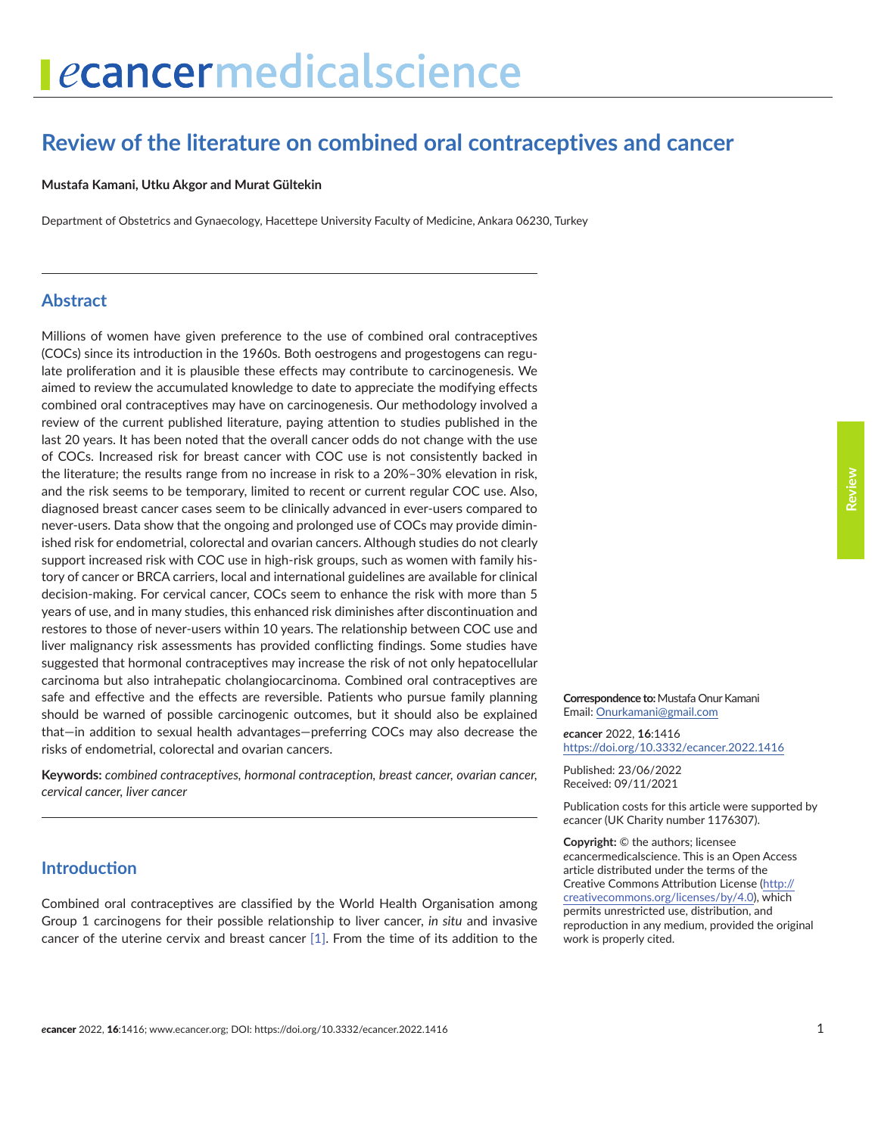## **Review of the literature on combined oral contraceptives and cancer**

#### **Mustafa Kamani, Utku Akgor and Murat Gültekin**

Department of Obstetrics and Gynaecology, Hacettepe University Faculty of Medicine, Ankara 06230, Turkey

#### **Abstract**

Millions of women have given preference to the use of combined oral contraceptives (COCs) since its introduction in the 1960s. Both oestrogens and progestogens can regulate proliferation and it is plausible these effects may contribute to carcinogenesis. We aimed to review the accumulated knowledge to date to appreciate the modifying effects combined oral contraceptives may have on carcinogenesis. Our methodology involved a review of the current published literature, paying attention to studies published in the last 20 years. It has been noted that the overall cancer odds do not change with the use of COCs. Increased risk for breast cancer with COC use is not consistently backed in the literature; the results range from no increase in risk to a 20%–30% elevation in risk, and the risk seems to be temporary, limited to recent or current regular COC use. Also, diagnosed breast cancer cases seem to be clinically advanced in ever-users compared to never-users. Data show that the ongoing and prolonged use of COCs may provide diminished risk for endometrial, colorectal and ovarian cancers. Although studies do not clearly support increased risk with COC use in high-risk groups, such as women with family history of cancer or BRCA carriers, local and international guidelines are available for clinical decision-making. For cervical cancer, COCs seem to enhance the risk with more than 5 years of use, and in many studies, this enhanced risk diminishes after discontinuation and restores to those of never-users within 10 years. The relationship between COC use and liver malignancy risk assessments has provided conflicting findings. Some studies have suggested that hormonal contraceptives may increase the risk of not only hepatocellular carcinoma but also intrahepatic cholangiocarcinoma. Combined oral contraceptives are safe and effective and the effects are reversible. Patients who pursue family planning should be warned of possible carcinogenic outcomes, but it should also be explained that—in addition to sexual health advantages—preferring COCs may also decrease the risks of endometrial, colorectal and ovarian cancers.

**Keywords:** *combined contraceptives, hormonal contraception, breast cancer, ovarian cancer, cervical cancer, liver cancer*

#### **Introduction**

Combined oral contraceptives are classified by the World Health Organisation among Group 1 carcinogens for their possible relationship to liver cancer, *in situ* and invasive cancer of the uterine cervix and breast cancer [\[1\]](#page-13-0). From the time of its addition to the

**Correspondence to:**Mustafa Onur Kamani Email: [Onurkamani@gmail.com](mailto:Onurkamani@gmail.com)

*e***cancer** 2022, **16**:1416 [https://doi.org/10.3332/ecancer.2022.141](https://doi.org/10.3332/ecancer.2022.1416)6

Published: 23/06/2022 Received: 09/11/2021

Publication costs for this article were supported by *e*cancer (UK Charity number 1176307).

**Copyright:** © the authors; licensee *e*cancermedicalscience. This is an Open Access article distributed under the terms of the Creative Commons Attribution License (http:// creativecommons.org/licenses/by/4.0), which permits unrestricted use, distribution, and reproduction in any medium, provided the original work is properly cited.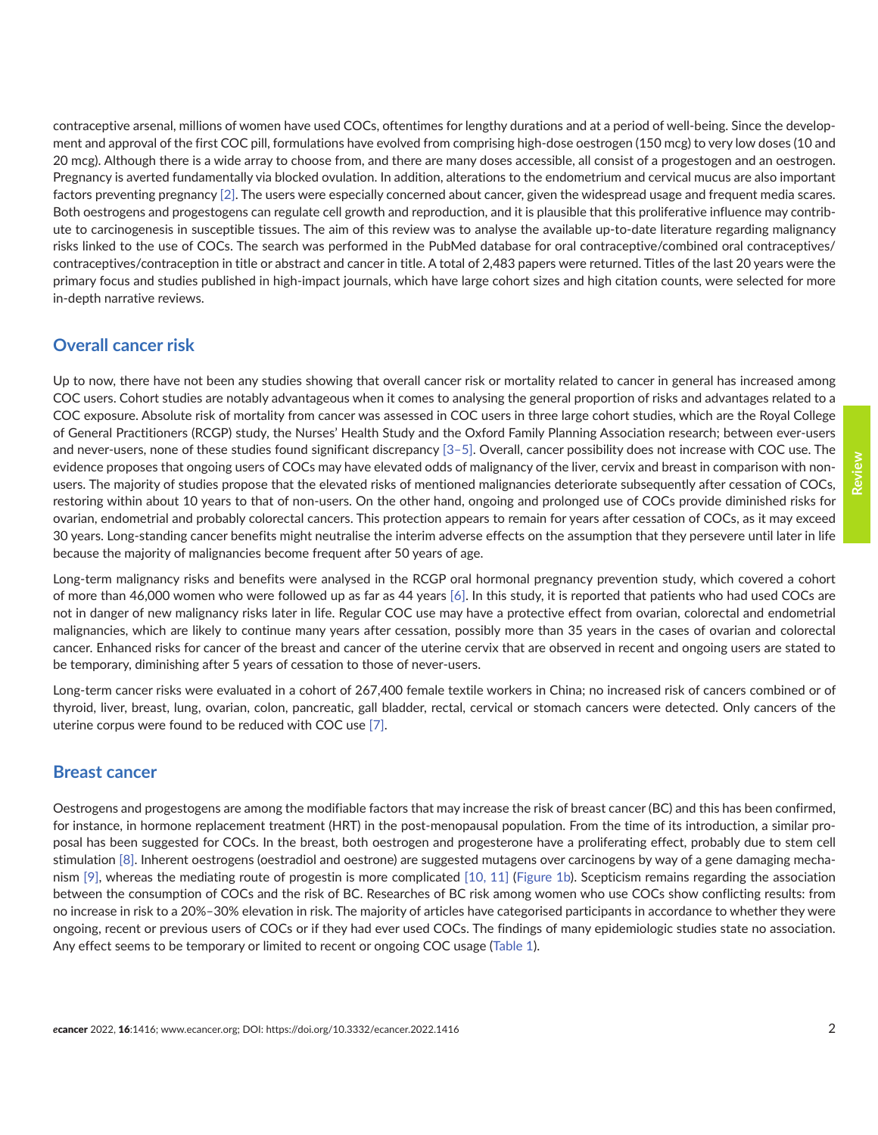contraceptive arsenal, millions of women have used COCs, oftentimes for lengthy durations and at a period of well-being. Since the development and approval of the first COC pill, formulations have evolved from comprising high-dose oestrogen (150 mcg) to very low doses (10 and 20 mcg). Although there is a wide array to choose from, and there are many doses accessible, all consist of a progestogen and an oestrogen. Pregnancy is averted fundamentally via blocked ovulation. In addition, alterations to the endometrium and cervical mucus are also important factors preventing pregnancy [\[2\]](#page-13-0). The users were especially concerned about cancer, given the widespread usage and frequent media scares. Both oestrogens and progestogens can regulate cell growth and reproduction, and it is plausible that this proliferative influence may contribute to carcinogenesis in susceptible tissues. The aim of this review was to analyse the available up-to-date literature regarding malignancy risks linked to the use of COCs. The search was performed in the PubMed database for oral contraceptive/combined oral contraceptives/ contraceptives/contraception in title or abstract and cancer in title. A total of 2,483 papers were returned. Titles of the last 20 years were the primary focus and studies published in high-impact journals, which have large cohort sizes and high citation counts, were selected for more in-depth narrative reviews.

#### **Overall cancer risk**

Up to now, there have not been any studies showing that overall cancer risk or mortality related to cancer in general has increased among COC users. Cohort studies are notably advantageous when it comes to analysing the general proportion of risks and advantages related to a COC exposure. Absolute risk of mortality from cancer was assessed in COC users in three large cohort studies, which are the Royal College of General Practitioners (RCGP) study, the Nurses' Health Study and the Oxford Family Planning Association research; between ever-users and never-users, none of these studies found significant discrepancy [\[3–5\].](#page-13-0) Overall, cancer possibility does not increase with COC use. The evidence proposes that ongoing users of COCs may have elevated odds of malignancy of the liver, cervix and breast in comparison with nonusers. The majority of studies propose that the elevated risks of mentioned malignancies deteriorate subsequently after cessation of COCs, restoring within about 10 years to that of non-users. On the other hand, ongoing and prolonged use of COCs provide diminished risks for ovarian, endometrial and probably colorectal cancers. This protection appears to remain for years after cessation of COCs, as it may exceed 30 years. Long-standing cancer benefits might neutralise the interim adverse effects on the assumption that they persevere until later in life because the majority of malignancies become frequent after 50 years of age.

Long-term malignancy risks and benefits were analysed in the RCGP oral hormonal pregnancy prevention study, which covered a cohort of more than 46,000 women who were followed up as far as 44 years [\[6\].](#page-13-0) In this study, it is reported that patients who had used COCs are not in danger of new malignancy risks later in life. Regular COC use may have a protective effect from ovarian, colorectal and endometrial malignancies, which are likely to continue many years after cessation, possibly more than 35 years in the cases of ovarian and colorectal cancer. Enhanced risks for cancer of the breast and cancer of the uterine cervix that are observed in recent and ongoing users are stated to be temporary, diminishing after 5 years of cessation to those of never-users.

Long-term cancer risks were evaluated in a cohort of 267,400 female textile workers in China; no increased risk of cancers combined or of thyroid, liver, breast, lung, ovarian, colon, pancreatic, gall bladder, rectal, cervical or stomach cancers were detected. Only cancers of the uterine corpus were found to be reduced with COC use [\[7\]](#page-13-0).

#### **Breast cancer**

Oestrogens and progestogens are among the modifiable factors that may increase the risk of breast cancer (BC) and this has been confirmed, for instance, in hormone replacement treatment (HRT) in the post-menopausal population. From the time of its introduction, a similar proposal has been suggested for COCs. In the breast, both oestrogen and progesterone have a proliferating effect, probably due to stem cell stimulation [\[8\].](#page-13-0) Inherent oestrogens (oestradiol and oestrone) are suggested mutagens over carcinogens by way of a gene damaging mechanism [\[9\]](#page-13-0), whereas the mediating route of progestin is more complicated [\[10,](#page-14-0) [11\]](#page-14-0) [\(Figure 1b\)](#page-2-0). Scepticism remains regarding the association between the consumption of COCs and the risk of BC. Researches of BC risk among women who use COCs show conflicting results: from no increase in risk to a 20%–30% elevation in risk. The majority of articles have categorised participants in accordance to whether they were ongoing, recent or previous users of COCs or if they had ever used COCs. The findings of many epidemiologic studies state no association. Any effect seems to be temporary or limited to recent or ongoing COC usage ([Table 1](#page-2-0)).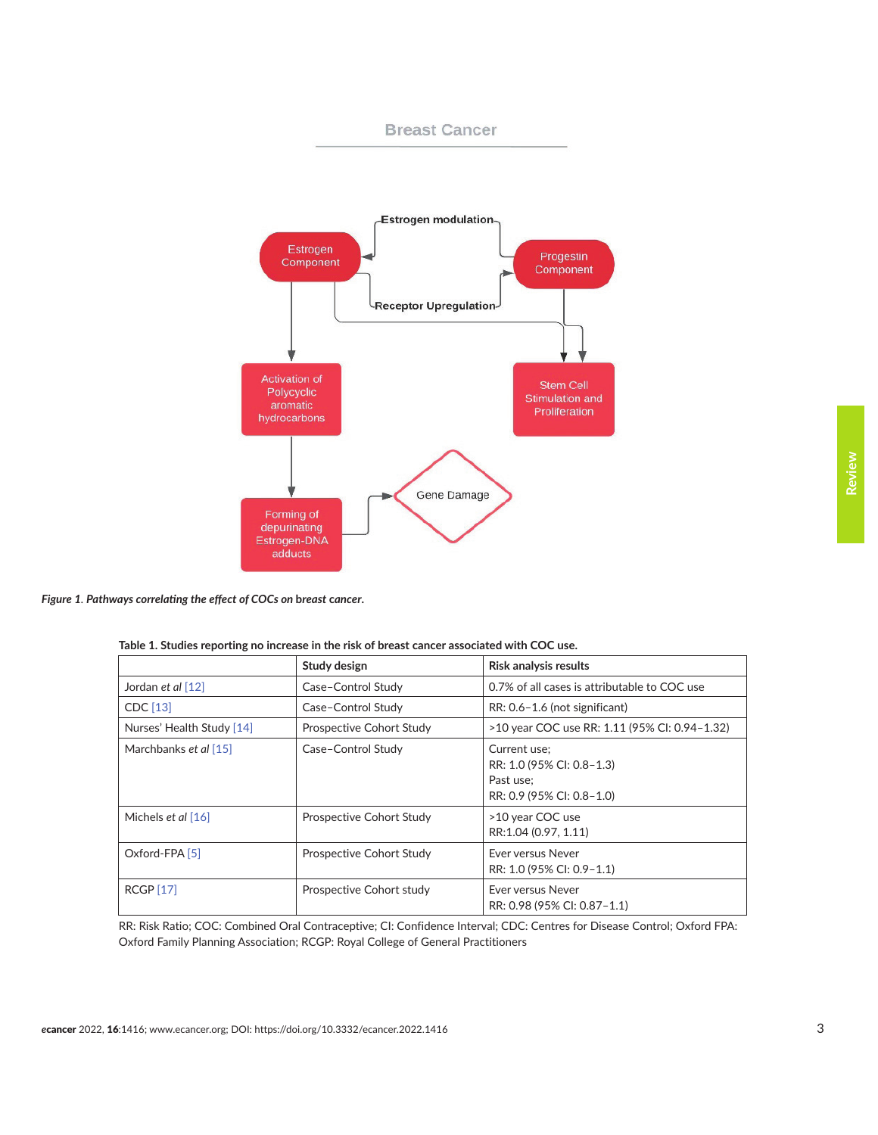<span id="page-2-0"></span>

**Breast Cancer** 

*Figure 1. Pathways correlating the effect of COCs on* **b***reast* **c***ancer***.**

| Table 1. Studies reporting no increase in the risk of breast cancer associated with COC use. |  |
|----------------------------------------------------------------------------------------------|--|
|                                                                                              |  |

|                           | Study design             | <b>Risk analysis results</b>                                                        |  |
|---------------------------|--------------------------|-------------------------------------------------------------------------------------|--|
| Jordan et al [12]         | Case-Control Study       | 0.7% of all cases is attributable to COC use                                        |  |
| CDC [13]                  | Case-Control Study       | RR: 0.6-1.6 (not significant)                                                       |  |
| Nurses' Health Study [14] | Prospective Cohort Study | >10 year COC use RR: 1.11 (95% CI: 0.94-1.32)                                       |  |
| Marchbanks et al [15]     | Case-Control Study       | Current use:<br>RR: 1.0 (95% CI: 0.8-1.3)<br>Past use:<br>RR: 0.9 (95% CI: 0.8-1.0) |  |
| Michels <i>et al</i> [16] | Prospective Cohort Study | >10 year COC use<br>RR:1.04 (0.97, 1.11)                                            |  |
| Oxford-FPA [5]            | Prospective Cohort Study | <b>Fver versus Never</b><br>RR: 1.0 (95% CI: 0.9-1.1)                               |  |
| <b>RCGP [17]</b>          | Prospective Cohort study | <b>Fver versus Never</b><br>RR: 0.98 (95% CI: 0.87-1.1)                             |  |

RR: Risk Ratio; COC: Combined Oral Contraceptive; CI: Confidence Interval; CDC: Centres for Disease Control; Oxford FPA: Oxford Family Planning Association; RCGP: Royal College of General Practitioners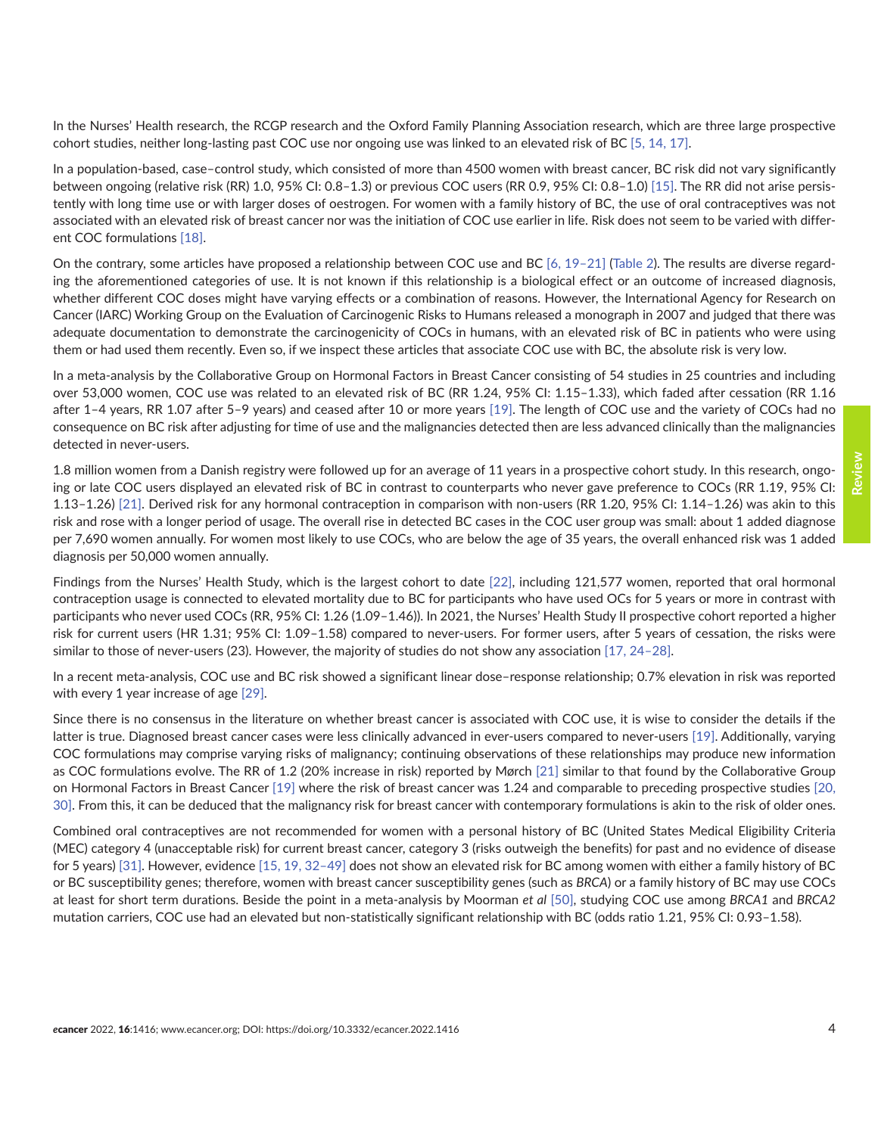In the Nurses' Health research, the RCGP research and the Oxford Family Planning Association research, which are three large prospective cohort studies, neither long-lasting past COC use nor ongoing use was linked to an elevated risk of BC [\[5,](#page-13-0) [14, 17\]](#page-14-0).

In a population-based, case–control study, which consisted of more than 4500 women with breast cancer, BC risk did not vary significantly between ongoing (relative risk (RR) 1.0, 95% CI: 0.8–1.3) or previous COC users (RR 0.9, 95% CI: 0.8–1.0) [\[15\]](#page-14-0). The RR did not arise persistently with long time use or with larger doses of oestrogen. For women with a family history of BC, the use of oral contraceptives was not associated with an elevated risk of breast cancer nor was the initiation of COC use earlier in life. Risk does not seem to be varied with different COC formulations [\[18\].](#page-14-0)

On the contrary, some articles have proposed a relationship between COC use and BC  $[6, 19-21]$  (Table 2). The results are diverse regarding the aforementioned categories of use. It is not known if this relationship is a biological effect or an outcome of increased diagnosis, whether different COC doses might have varying effects or a combination of reasons. However, the International Agency for Research on Cancer (IARC) Working Group on the Evaluation of Carcinogenic Risks to Humans released a monograph in 2007 and judged that there was adequate documentation to demonstrate the carcinogenicity of COCs in humans, with an elevated risk of BC in patients who were using them or had used them recently. Even so, if we inspect these articles that associate COC use with BC, the absolute risk is very low.

In a meta-analysis by the Collaborative Group on Hormonal Factors in Breast Cancer consisting of 54 studies in 25 countries and including over 53,000 women, COC use was related to an elevated risk of BC (RR 1.24, 95% CI: 1.15–1.33), which faded after cessation (RR 1.16 after 1–4 years, RR 1.07 after 5–9 years) and ceased after 10 or more years [\[19\].](#page-14-0) The length of COC use and the variety of COCs had no consequence on BC risk after adjusting for time of use and the malignancies detected then are less advanced clinically than the malignancies detected in never-users.

1.8 million women from a Danish registry were followed up for an average of 11 years in a prospective cohort study. In this research, ongoing or late COC users displayed an elevated risk of BC in contrast to counterparts who never gave preference to COCs (RR 1.19, 95% CI: 1.13–1.26) [\[21\].](#page-14-0) Derived risk for any hormonal contraception in comparison with non-users (RR 1.20, 95% CI: 1.14–1.26) was akin to this risk and rose with a longer period of usage. The overall rise in detected BC cases in the COC user group was small: about 1 added diagnose per 7,690 women annually. For women most likely to use COCs, who are below the age of 35 years, the overall enhanced risk was 1 added diagnosis per 50,000 women annually.

Findings from the Nurses' Health Study, which is the largest cohort to date [\[22\]](#page-14-0), including 121,577 women, reported that oral hormonal contraception usage is connected to elevated mortality due to BC for participants who have used OCs for 5 years or more in contrast with participants who never used COCs (RR, 95% CI: 1.26 (1.09–1.46)). In 2021, the Nurses' Health Study II prospective cohort reported a higher risk for current users (HR 1.31; 95% CI: 1.09–1.58) compared to never-users. For former users, after 5 years of cessation, the risks were similar to those of never-users (23). However, the majority of studies do not show any association [\[17, 24–](#page-14-0)[28\]](#page-15-0).

In a recent meta-analysis, COC use and BC risk showed a significant linear dose–response relationship; 0.7% elevation in risk was reported with every 1 year increase of age [\[29\]](#page-15-0).

Since there is no consensus in the literature on whether breast cancer is associated with COC use, it is wise to consider the details if the latter is true. Diagnosed breast cancer cases were less clinically advanced in ever-users compared to never-users [\[19\].](#page-14-0) Additionally, varying COC formulations may comprise varying risks of malignancy; continuing observations of these relationships may produce new information as COC formulations evolve. The RR of 1.2 (20% increase in risk) reported by Mørch [\[21\]](#page-14-0) similar to that found by the Collaborative Group on Hormonal Factors in Breast Cancer [\[19\]](#page-14-0) where the risk of breast cancer was 1.24 and comparable to preceding prospective studies [\[20,](#page-14-0) [30\]](#page-15-0). From this, it can be deduced that the malignancy risk for breast cancer with contemporary formulations is akin to the risk of older ones.

Combined oral contraceptives are not recommended for women with a personal history of BC (United States Medical Eligibility Criteria (MEC) category 4 (unacceptable risk) for current breast cancer, category 3 (risks outweigh the benefits) for past and no evidence of disease for 5 years) [\[31\].](#page-15-0) However, evidence [\[15, 19,](#page-14-0) [32–](#page-15-0)[49\]](#page-16-0) does not show an elevated risk for BC among women with either a family history of BC or BC susceptibility genes; therefore, women with breast cancer susceptibility genes (such as *BRCA*) or a family history of BC may use COCs at least for short term durations. Beside the point in a meta-analysis by Moorman *et al* [\[50\]](#page-16-0), studying COC use among *BRCA1* and *BRCA2* mutation carriers, COC use had an elevated but non-statistically significant relationship with BC (odds ratio 1.21, 95% CI: 0.93–1.58).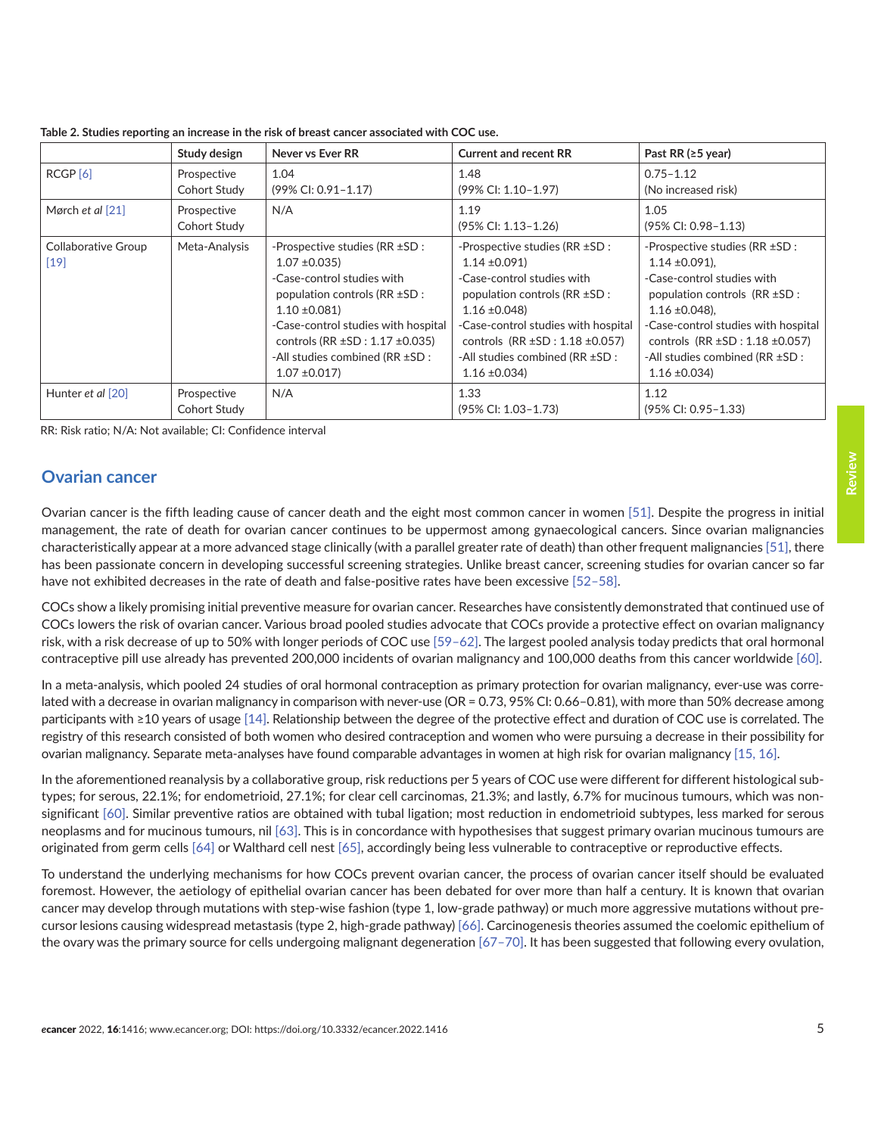|                                    | Study design                | Never vs Ever RR                                                                                                                                                                                                                                                                       | <b>Current and recent RR</b>                                                                                                                                                                                                                                                   | Past RR ( $\geq$ 5 year)                                                                                                                                                                                                                                                             |
|------------------------------------|-----------------------------|----------------------------------------------------------------------------------------------------------------------------------------------------------------------------------------------------------------------------------------------------------------------------------------|--------------------------------------------------------------------------------------------------------------------------------------------------------------------------------------------------------------------------------------------------------------------------------|--------------------------------------------------------------------------------------------------------------------------------------------------------------------------------------------------------------------------------------------------------------------------------------|
| RCGP <sub>[6]</sub>                | Prospective<br>Cohort Study | 1.04<br>(99% CI: 0.91-1.17)                                                                                                                                                                                                                                                            | 1.48<br>(99% CI: 1.10-1.97)                                                                                                                                                                                                                                                    | $0.75 - 1.12$<br>(No increased risk)                                                                                                                                                                                                                                                 |
| Mørch et al [21]                   | Prospective<br>Cohort Study | N/A                                                                                                                                                                                                                                                                                    | 1.19<br>(95% CI: 1.13-1.26)                                                                                                                                                                                                                                                    | 1.05<br>$(95\%$ CI: 0.98-1.13)                                                                                                                                                                                                                                                       |
| <b>Collaborative Group</b><br>[19] | Meta-Analysis               | -Prospective studies (RR ±SD :<br>$1.07 \pm 0.035$<br>-Case-control studies with<br>population controls ( $RR \pm SD$ :<br>$1.10 \pm 0.081$<br>-Case-control studies with hospital<br>controls (RR $\pm$ SD : 1.17 $\pm$ 0.035)<br>-All studies combined (RR ±SD :<br>$1.07 \pm 0.017$ | -Prospective studies (RR ±SD :<br>$1.14 \pm 0.091$<br>-Case-control studies with<br>population controls (RR ±SD :<br>$1.16 \pm 0.048$<br>-Case-control studies with hospital<br>controls $(RR \pm SD : 1.18 \pm 0.057)$<br>-All studies combined (RR ±SD :<br>$1.16 \pm 0.034$ | -Prospective studies (RR ±SD :<br>$1.14 \pm 0.091$ ).<br>-Case-control studies with<br>population controls (RR ±SD :<br>$1.16 \pm 0.048$ ).<br>-Case-control studies with hospital<br>controls $(RR \pm SD : 1.18 \pm 0.057)$<br>-All studies combined (RR ±SD :<br>$1.16 \pm 0.034$ |
| Hunter et al [20]                  | Prospective<br>Cohort Study | N/A                                                                                                                                                                                                                                                                                    | 1.33<br>(95% CI: 1.03-1.73)                                                                                                                                                                                                                                                    | 1.12<br>(95% CI: 0.95-1.33)                                                                                                                                                                                                                                                          |

**Table 2. Studies reporting an increase in the risk of breast cancer associated with COC use.**

RR: Risk ratio; N/A: Not available; CI: Confidence interval

#### **Ovarian cancer**

Ovarian cancer is the fifth leading cause of cancer death and the eight most common cancer in women [\[51\]](#page-16-0). Despite the progress in initial management, the rate of death for ovarian cancer continues to be uppermost among gynaecological cancers. Since ovarian malignancies characteristically appear at a more advanced stage clinically (with a parallel greater rate of death) than other frequent malignancies [\[51\]](#page-16-0), there has been passionate concern in developing successful screening strategies. Unlike breast cancer, screening studies for ovarian cancer so far have not exhibited decreases in the rate of death and false-positive rates have been excessive [\[52–58\].](#page-16-0)

COCs show a likely promising initial preventive measure for ovarian cancer. Researches have consistently demonstrated that continued use of COCs lowers the risk of ovarian cancer. Various broad pooled studies advocate that COCs provide a protective effect on ovarian malignancy risk, with a risk decrease of up to 50% with longer periods of COC use [\[59–](#page-16-0)[62\].](#page-17-0) The largest pooled analysis today predicts that oral hormonal contraceptive pill use already has prevented 200,000 incidents of ovarian malignancy and 100,000 deaths from this cancer worldwide [\[60\].](#page-16-0)

In a meta-analysis, which pooled 24 studies of oral hormonal contraception as primary protection for ovarian malignancy, ever-use was correlated with a decrease in ovarian malignancy in comparison with never-use (OR = 0.73, 95% CI: 0.66-0.81), with more than 50% decrease among participants with ≥10 years of usage [\[14\].](#page-14-0) Relationship between the degree of the protective effect and duration of COC use is correlated. The registry of this research consisted of both women who desired contraception and women who were pursuing a decrease in their possibility for ovarian malignancy. Separate meta-analyses have found comparable advantages in women at high risk for ovarian malignancy [\[15, 16\]](#page-14-0).

In the aforementioned reanalysis by a collaborative group, risk reductions per 5 years of COC use were different for different histological subtypes; for serous, 22.1%; for endometrioid, 27.1%; for clear cell carcinomas, 21.3%; and lastly, 6.7% for mucinous tumours, which was nonsignificant [\[60\].](#page-16-0) Similar preventive ratios are obtained with tubal ligation; most reduction in endometrioid subtypes, less marked for serous neoplasms and for mucinous tumours, nil [\[63\].](#page-17-0) This is in concordance with hypothesises that suggest primary ovarian mucinous tumours are originated from germ cells [\[64\]](#page-17-0) or Walthard cell nest [\[65\],](#page-17-0) accordingly being less vulnerable to contraceptive or reproductive effects.

To understand the underlying mechanisms for how COCs prevent ovarian cancer, the process of ovarian cancer itself should be evaluated foremost. However, the aetiology of epithelial ovarian cancer has been debated for over more than half a century. It is known that ovarian cancer may develop through mutations with step-wise fashion (type 1, low-grade pathway) or much more aggressive mutations without precursor lesions causing widespread metastasis (type 2, high-grade pathway) [\[66\]](#page-17-0). Carcinogenesis theories assumed the coelomic epithelium of the ovary was the primary source for cells undergoing malignant degeneration [\[67–70\].](#page-17-0) It has been suggested that following every ovulation,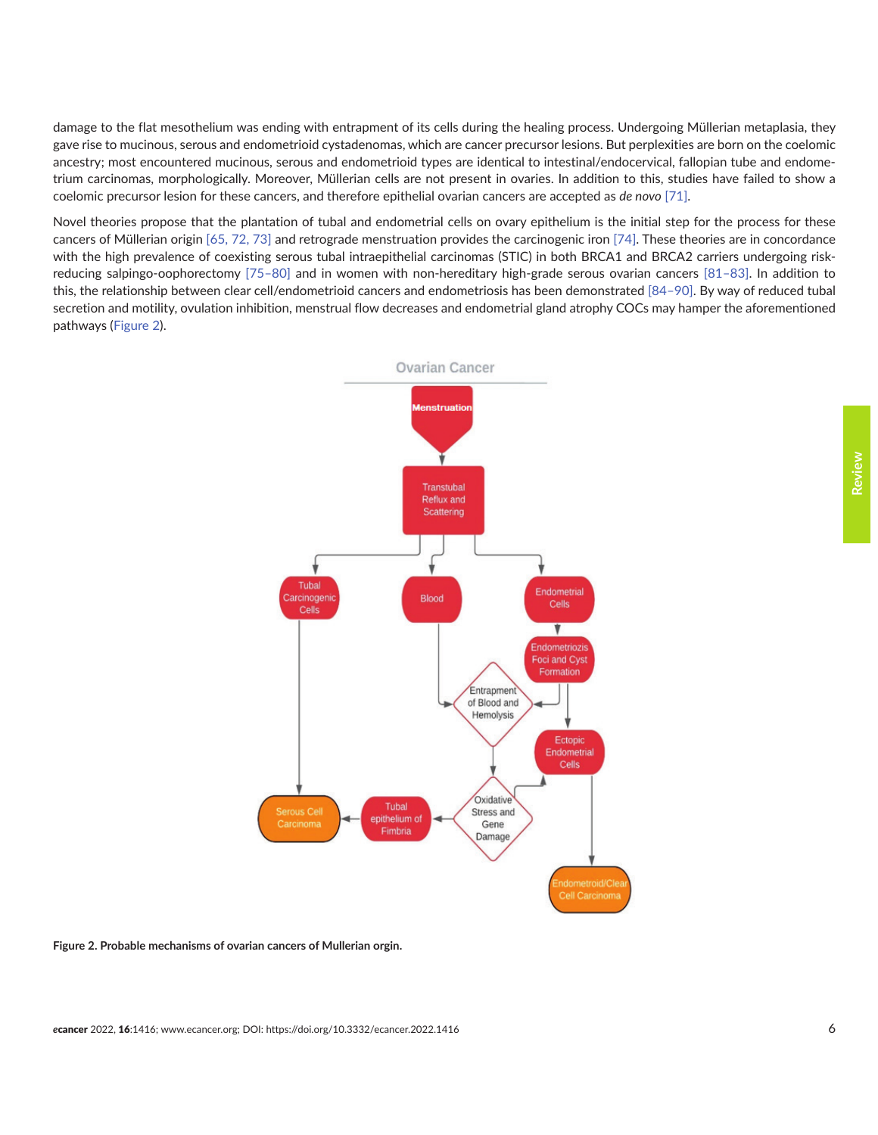damage to the flat mesothelium was ending with entrapment of its cells during the healing process. Undergoing Müllerian metaplasia, they gave rise to mucinous, serous and endometrioid cystadenomas, which are cancer precursor lesions. But perplexities are born on the coelomic ancestry; most encountered mucinous, serous and endometrioid types are identical to intestinal/endocervical, fallopian tube and endometrium carcinomas, morphologically. Moreover, Müllerian cells are not present in ovaries. In addition to this, studies have failed to show a coelomic precursor lesion for these cancers, and therefore epithelial ovarian cancers are accepted as *de novo* [\[71\].](#page-17-0)

Novel theories propose that the plantation of tubal and endometrial cells on ovary epithelium is the initial step for the process for these cancers of Müllerian origin [\[65, 72, 73\]](#page-17-0) and retrograde menstruation provides the carcinogenic iron [\[74\].](#page-17-0) These theories are in concordance with the high prevalence of coexisting serous tubal intraepithelial carcinomas (STIC) in both BRCA1 and BRCA2 carriers undergoing riskreducing salpingo-oophorectomy [\[75–](#page-17-0)[80\]](#page-18-0) and in women with non-hereditary high-grade serous ovarian cancers [\[81–83\].](#page-18-0) In addition to this, the relationship between clear cell/endometrioid cancers and endometriosis has been demonstrated [\[84–90\].](#page-18-0) By way of reduced tubal secretion and motility, ovulation inhibition, menstrual flow decreases and endometrial gland atrophy COCs may hamper the aforementioned pathways (Figure 2).



**Figure 2. Probable mechanisms of ovarian cancers of Mullerian orgin.**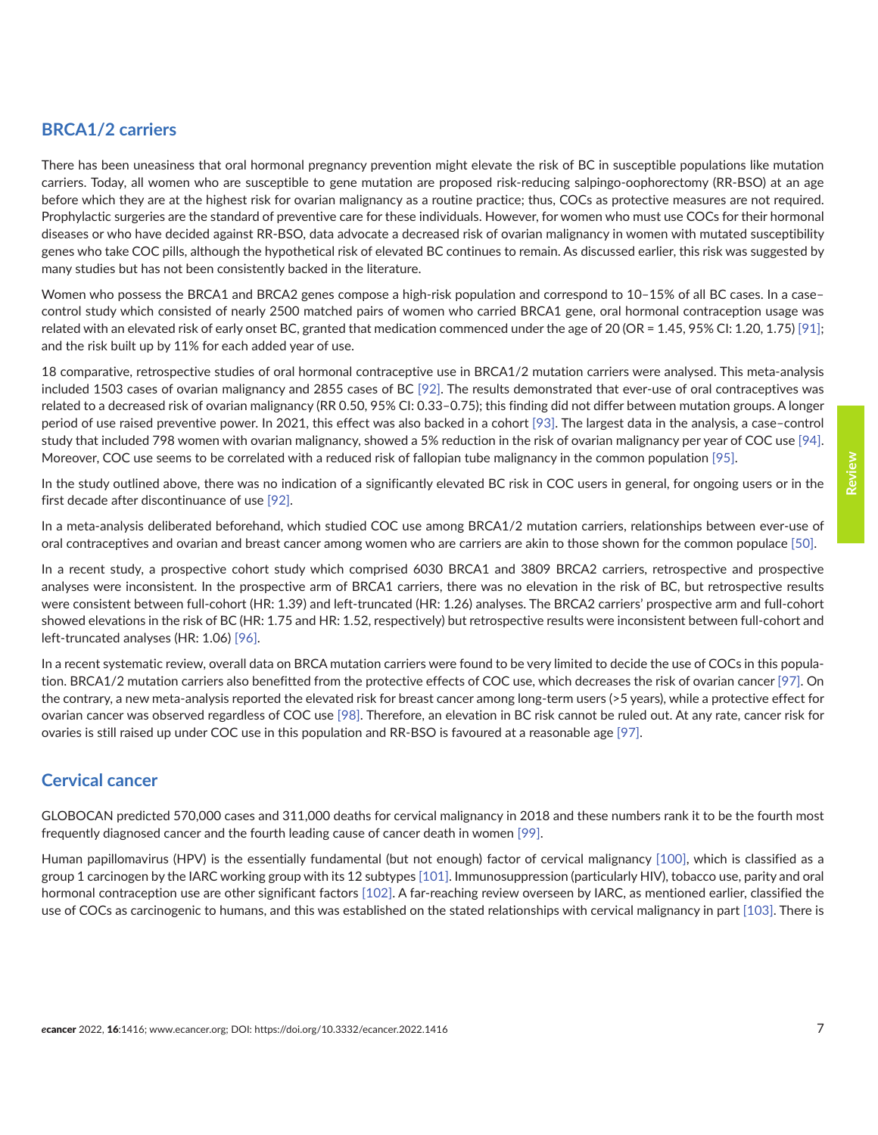#### **BRCA1/2 carriers**

There has been uneasiness that oral hormonal pregnancy prevention might elevate the risk of BC in susceptible populations like mutation carriers. Today, all women who are susceptible to gene mutation are proposed risk-reducing salpingo-oophorectomy (RR-BSO) at an age before which they are at the highest risk for ovarian malignancy as a routine practice; thus, COCs as protective measures are not required. Prophylactic surgeries are the standard of preventive care for these individuals. However, for women who must use COCs for their hormonal diseases or who have decided against RR-BSO, data advocate a decreased risk of ovarian malignancy in women with mutated susceptibility genes who take COC pills, although the hypothetical risk of elevated BC continues to remain. As discussed earlier, this risk was suggested by many studies but has not been consistently backed in the literature.

Women who possess the BRCA1 and BRCA2 genes compose a high-risk population and correspond to 10–15% of all BC cases. In a case– control study which consisted of nearly 2500 matched pairs of women who carried BRCA1 gene, oral hormonal contraception usage was related with an elevated risk of early onset BC, granted that medication commenced under the age of 20 (OR = 1.45, 95% CI: 1.20, 1.75) [\[91\];](#page-18-0) and the risk built up by 11% for each added year of use.

18 comparative, retrospective studies of oral hormonal contraceptive use in BRCA1/2 mutation carriers were analysed. This meta-analysis included 1503 cases of ovarian malignancy and 2855 cases of BC [\[92\]](#page-18-0). The results demonstrated that ever-use of oral contraceptives was related to a decreased risk of ovarian malignancy (RR 0.50, 95% CI: 0.33–0.75); this finding did not differ between mutation groups. A longer period of use raised preventive power. In 2021, this effect was also backed in a cohort [\[93\]](#page-18-0). The largest data in the analysis, a case–control study that included 798 women with ovarian malignancy, showed a 5% reduction in the risk of ovarian malignancy per year of COC use [\[94\].](#page-18-0) Moreover, COC use seems to be correlated with a reduced risk of fallopian tube malignancy in the common population [\[95\].](#page-18-0)

In the study outlined above, there was no indication of a significantly elevated BC risk in COC users in general, for ongoing users or in the first decade after discontinuance of use [\[92\]](#page-18-0).

In a meta-analysis deliberated beforehand, which studied COC use among BRCA1/2 mutation carriers, relationships between ever-use of oral contraceptives and ovarian and breast cancer among women who are carriers are akin to those shown for the common populace [\[50\].](#page-16-0)

In a recent study, a prospective cohort study which comprised 6030 BRCA1 and 3809 BRCA2 carriers, retrospective and prospective analyses were inconsistent. In the prospective arm of BRCA1 carriers, there was no elevation in the risk of BC, but retrospective results were consistent between full-cohort (HR: 1.39) and left-truncated (HR: 1.26) analyses. The BRCA2 carriers' prospective arm and full-cohort showed elevations in the risk of BC (HR: 1.75 and HR: 1.52, respectively) but retrospective results were inconsistent between full-cohort and left-truncated analyses (HR: 1.06) [\[96\].](#page-19-0)

In a recent systematic review, overall data on BRCA mutation carriers were found to be very limited to decide the use of COCs in this population. BRCA1/2 mutation carriers also benefitted from the protective effects of COC use, which decreases the risk of ovarian cancer [\[97\]](#page-19-0). On the contrary, a new meta-analysis reported the elevated risk for breast cancer among long-term users (>5 years), while a protective effect for ovarian cancer was observed regardless of COC use [\[98\]](#page-19-0). Therefore, an elevation in BC risk cannot be ruled out. At any rate, cancer risk for ovaries is still raised up under COC use in this population and RR-BSO is favoured at a reasonable age [\[97\]](#page-19-0).

#### **Cervical cancer**

GLOBOCAN predicted 570,000 cases and 311,000 deaths for cervical malignancy in 2018 and these numbers rank it to be the fourth most frequently diagnosed cancer and the fourth leading cause of cancer death in women [\[99\].](#page-19-0)

Human papillomavirus (HPV) is the essentially fundamental (but not enough) factor of cervical malignancy [\[100\],](#page-19-0) which is classified as a group 1 carcinogen by the IARC working group with its 12 subtypes [\[101\]](#page-19-0). Immunosuppression (particularly HIV), tobacco use, parity and oral hormonal contraception use are other significant factors [\[102\].](#page-19-0) A far-reaching review overseen by IARC, as mentioned earlier, classified the use of COCs as carcinogenic to humans, and this was established on the stated relationships with cervical malignancy in part [\[103\].](#page-19-0) There is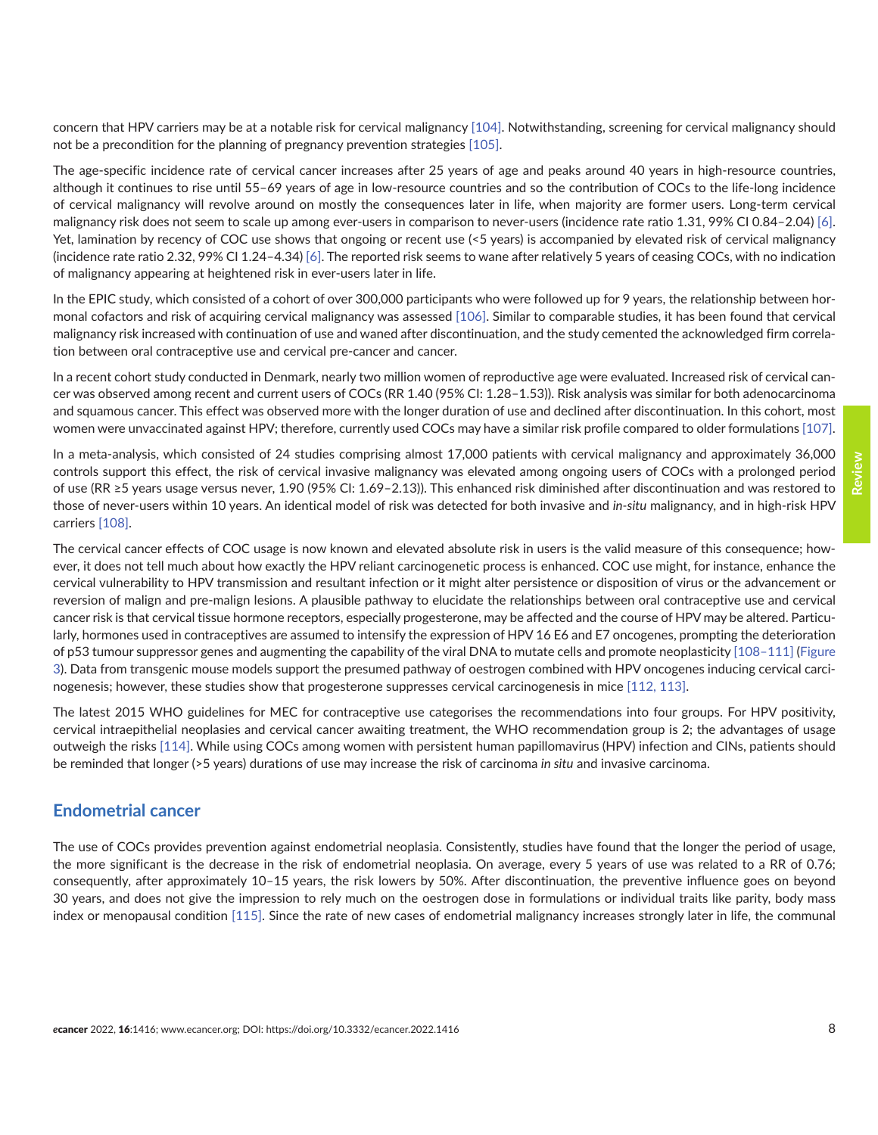concern that HPV carriers may be at a notable risk for cervical malignancy [\[104\].](#page-19-0) Notwithstanding, screening for cervical malignancy should not be a precondition for the planning of pregnancy prevention strategies [\[105\]](#page-19-0).

The age-specific incidence rate of cervical cancer increases after 25 years of age and peaks around 40 years in high-resource countries, although it continues to rise until 55–69 years of age in low-resource countries and so the contribution of COCs to the life-long incidence of cervical malignancy will revolve around on mostly the consequences later in life, when majority are former users. Long-term cervical malignancy risk does not seem to scale up among ever-users in comparison to never-users (incidence rate ratio 1.31, 99% CI 0.84–2.04) [\[6\].](#page-13-0) Yet, lamination by recency of COC use shows that ongoing or recent use (<5 years) is accompanied by elevated risk of cervical malignancy (incidence rate ratio 2.32, 99% CI 1.24–4.34) [\[6\]](#page-13-0). The reported risk seems to wane after relatively 5 years of ceasing COCs, with no indication of malignancy appearing at heightened risk in ever-users later in life.

In the EPIC study, which consisted of a cohort of over 300,000 participants who were followed up for 9 years, the relationship between hormonal cofactors and risk of acquiring cervical malignancy was assessed [\[106\]](#page-19-0). Similar to comparable studies, it has been found that cervical malignancy risk increased with continuation of use and waned after discontinuation, and the study cemented the acknowledged firm correlation between oral contraceptive use and cervical pre-cancer and cancer.

In a recent cohort study conducted in Denmark, nearly two million women of reproductive age were evaluated. Increased risk of cervical cancer was observed among recent and current users of COCs (RR 1.40 (95% CI: 1.28–1.53)). Risk analysis was similar for both adenocarcinoma and squamous cancer. This effect was observed more with the longer duration of use and declined after discontinuation. In this cohort, most women were unvaccinated against HPV; therefore, currently used COCs may have a similar risk profile compared to older formulations [\[107\].](#page-19-0)

In a meta-analysis, which consisted of 24 studies comprising almost 17,000 patients with cervical malignancy and approximately 36,000 controls support this effect, the risk of cervical invasive malignancy was elevated among ongoing users of COCs with a prolonged period of use (RR ≥5 years usage versus never, 1.90 (95% CI: 1.69–2.13)). This enhanced risk diminished after discontinuation and was restored to those of never-users within 10 years. An identical model of risk was detected for both invasive and *in-situ* malignancy, and in high-risk HPV carriers [\[108\].](#page-19-0)

The cervical cancer effects of COC usage is now known and elevated absolute risk in users is the valid measure of this consequence; however, it does not tell much about how exactly the HPV reliant carcinogenetic process is enhanced. COC use might, for instance, enhance the cervical vulnerability to HPV transmission and resultant infection or it might alter persistence or disposition of virus or the advancement or reversion of malign and pre-malign lesions. A plausible pathway to elucidate the relationships between oral contraceptive use and cervical cancer risk is that cervical tissue hormone receptors, especially progesterone, may be affected and the course of HPV may be altered. Particularly, hormones used in contraceptives are assumed to intensify the expression of HPV 16 E6 and E7 oncogenes, prompting the deterioration of p53 tumour suppressor genes and augmenting the capability of the viral DNA to mutate cells and promote neoplasticity [\[108–111\]](#page-19-0) [\(Figure](#page-8-0) [3](#page-8-0)). Data from transgenic mouse models support the presumed pathway of oestrogen combined with HPV oncogenes inducing cervical carcinogenesis; however, these studies show that progesterone suppresses cervical carcinogenesis in mice [\[112,](#page-19-0) [113\].](#page-20-0)

The latest 2015 WHO guidelines for MEC for contraceptive use categorises the recommendations into four groups. For HPV positivity, cervical intraepithelial neoplasies and cervical cancer awaiting treatment, the WHO recommendation group is 2; the advantages of usage outweigh the risks [\[114\].](#page-20-0) While using COCs among women with persistent human papillomavirus (HPV) infection and CINs, patients should be reminded that longer (>5 years) durations of use may increase the risk of carcinoma *in situ* and invasive carcinoma.

#### **Endometrial cancer**

The use of COCs provides prevention against endometrial neoplasia. Consistently, studies have found that the longer the period of usage, the more significant is the decrease in the risk of endometrial neoplasia. On average, every 5 years of use was related to a RR of 0.76; consequently, after approximately 10–15 years, the risk lowers by 50%. After discontinuation, the preventive influence goes on beyond 30 years, and does not give the impression to rely much on the oestrogen dose in formulations or individual traits like parity, body mass index or menopausal condition [\[115\].](#page-20-0) Since the rate of new cases of endometrial malignancy increases strongly later in life, the communal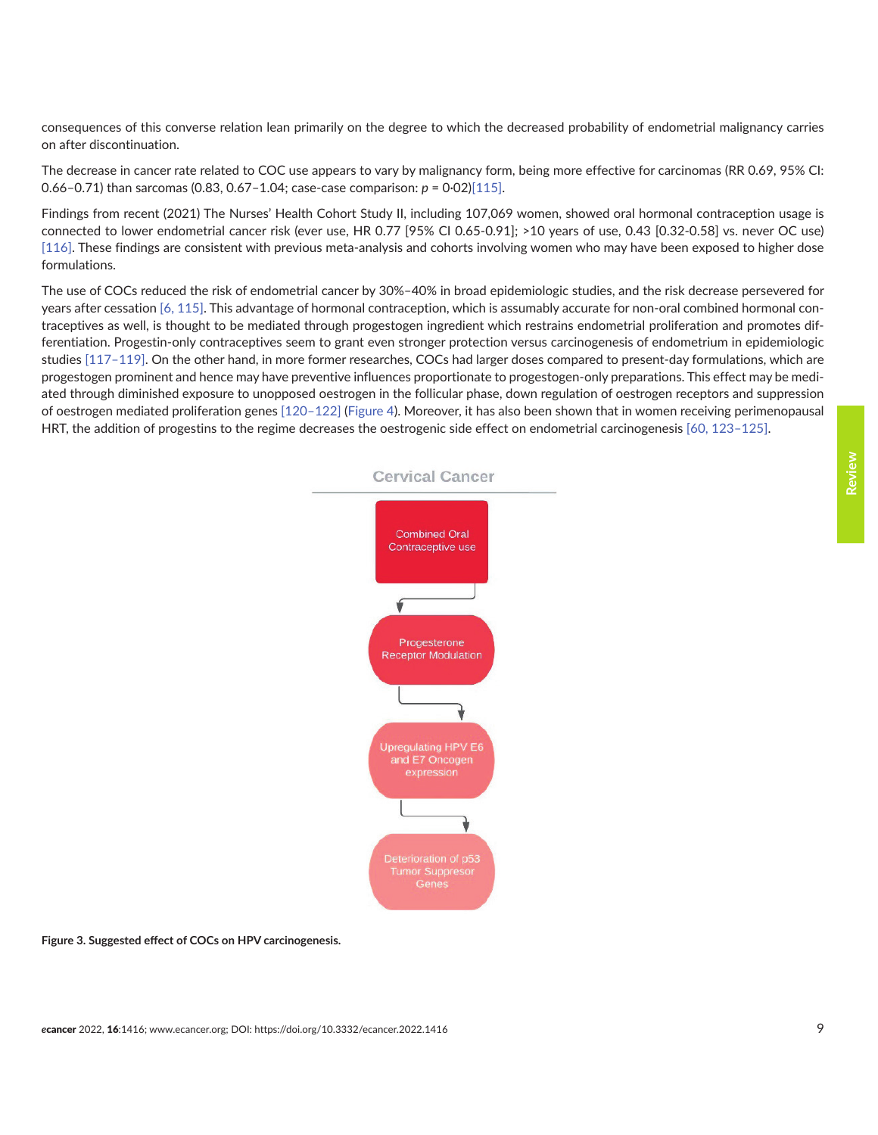<span id="page-8-0"></span>consequences of this converse relation lean primarily on the degree to which the decreased probability of endometrial malignancy carries on after discontinuation.

The decrease in cancer rate related to COC use appears to vary by malignancy form, being more effective for carcinomas (RR 0.69, 95% CI: 0.66–0.71) than sarcomas (0.83, 0.67–1.04; case-case comparison: *p* = 0·02[\)\[115\]](#page-20-0).

Findings from recent (2021) The Nurses' Health Cohort Study II, including 107,069 women, showed oral hormonal contraception usage is connected to lower endometrial cancer risk (ever use, HR 0.77 [95% CI 0.65-0.91]; >10 years of use, 0.43 [0.32-0.58] vs. never OC use) [\[116\]](#page-20-0). These findings are consistent with previous meta-analysis and cohorts involving women who may have been exposed to higher dose formulations.

The use of COCs reduced the risk of endometrial cancer by 30%–40% in broad epidemiologic studies, and the risk decrease persevered for years after cessation [\[6,](#page-13-0) [115\]](#page-20-0). This advantage of hormonal contraception, which is assumably accurate for non-oral combined hormonal contraceptives as well, is thought to be mediated through progestogen ingredient which restrains endometrial proliferation and promotes differentiation. Progestin-only contraceptives seem to grant even stronger protection versus carcinogenesis of endometrium in epidemiologic studies [\[117–119\]](#page-20-0). On the other hand, in more former researches, COCs had larger doses compared to present-day formulations, which are progestogen prominent and hence may have preventive influences proportionate to progestogen-only preparations. This effect may be mediated through diminished exposure to unopposed oestrogen in the follicular phase, down regulation of oestrogen receptors and suppression of oestrogen mediated proliferation genes [\[120–122\]](#page-20-0) ([Figure 4\)](#page-9-0). Moreover, it has also been shown that in women receiving perimenopausal HRT, the addition of progestins to the regime decreases the oestrogenic side effect on endometrial carcinogenesis [\[60,](#page-16-0) [123–125\].](#page-20-0)

# **Cervical Cancer Combined Oral** Contraceptive use Progesterone **Receptor Modulation** and E7 Oncogen Tumor Suppresor<br>Genes

#### **Figure 3. Suggested effect of COCs on HPV carcinogenesis.**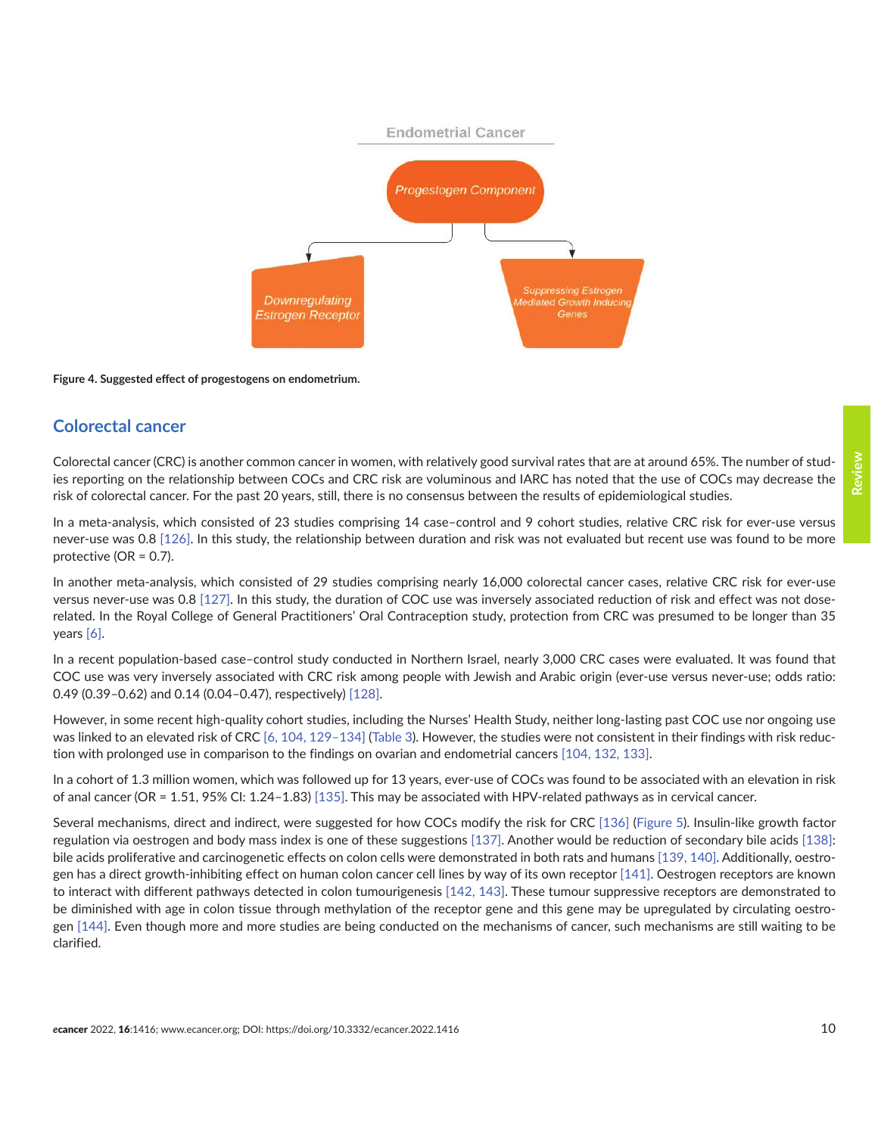<span id="page-9-0"></span>

#### **Figure 4. Suggested effect of progestogens on endometrium.**

#### **Colorectal cancer**

Colorectal cancer (CRC) is another common cancer in women, with relatively good survival rates that are at around 65%. The number of studies reporting on the relationship between COCs and CRC risk are voluminous and IARC has noted that the use of COCs may decrease the risk of colorectal cancer. For the past 20 years, still, there is no consensus between the results of epidemiological studies.

In a meta-analysis, which consisted of 23 studies comprising 14 case–control and 9 cohort studies, relative CRC risk for ever-use versus never-use was 0.8 [\[126\].](#page-20-0) In this study, the relationship between duration and risk was not evaluated but recent use was found to be more protective (OR = 0.7).

In another meta-analysis, which consisted of 29 studies comprising nearly 16,000 colorectal cancer cases, relative CRC risk for ever-use versus never-use was 0.8 [\[127\].](#page-20-0) In this study, the duration of COC use was inversely associated reduction of risk and effect was not doserelated. In the Royal College of General Practitioners' Oral Contraception study, protection from CRC was presumed to be longer than 35 years [\[6\].](#page-13-0)

In a recent population-based case–control study conducted in Northern Israel, nearly 3,000 CRC cases were evaluated. It was found that COC use was very inversely associated with CRC risk among people with Jewish and Arabic origin (ever-use versus never-use; odds ratio: 0.49 (0.39–0.62) and 0.14 (0.04–0.47), respectively) [\[128\].](#page-20-0)

However, in some recent high-quality cohort studies, including the Nurses' Health Study, neither long-lasting past COC use nor ongoing use was linked to an elevated risk of CRC [\[6,](#page-13-0) [104,](#page-19-0) [129–](#page-20-0)[134\]](#page-21-0) ([Table 3\)](#page-10-0). However, the studies were not consistent in their findings with risk reduction with prolonged use in comparison to the findings on ovarian and endometrial cancers [\[104,](#page-19-0) [132, 133\].](#page-21-0)

In a cohort of 1.3 million women, which was followed up for 13 years, ever-use of COCs was found to be associated with an elevation in risk of anal cancer (OR = 1.51, 95% CI: 1.24–1.83) [\[135\].](#page-21-0) This may be associated with HPV-related pathways as in cervical cancer.

Several mechanisms, direct and indirect, were suggested for how COCs modify the risk for CRC [\[136\]](#page-21-0) [\(Figure 5\)](#page-10-0). Insulin-like growth factor regulation via oestrogen and body mass index is one of these suggestions [\[137\].](#page-21-0) Another would be reduction of secondary bile acids [\[138\]:](#page-21-0) bile acids proliferative and carcinogenetic effects on colon cells were demonstrated in both rats and humans [\[139, 140\].](#page-21-0) Additionally, oestrogen has a direct growth-inhibiting effect on human colon cancer cell lines by way of its own receptor [\[141\].](#page-21-0) Oestrogen receptors are known to interact with different pathways detected in colon tumourigenesis [\[142,](#page-21-0) [143\]](#page-21-0). These tumour suppressive receptors are demonstrated to be diminished with age in colon tissue through methylation of the receptor gene and this gene may be upregulated by circulating oestrogen [\[144\]](#page-21-0). Even though more and more studies are being conducted on the mechanisms of cancer, such mechanisms are still waiting to be clarified.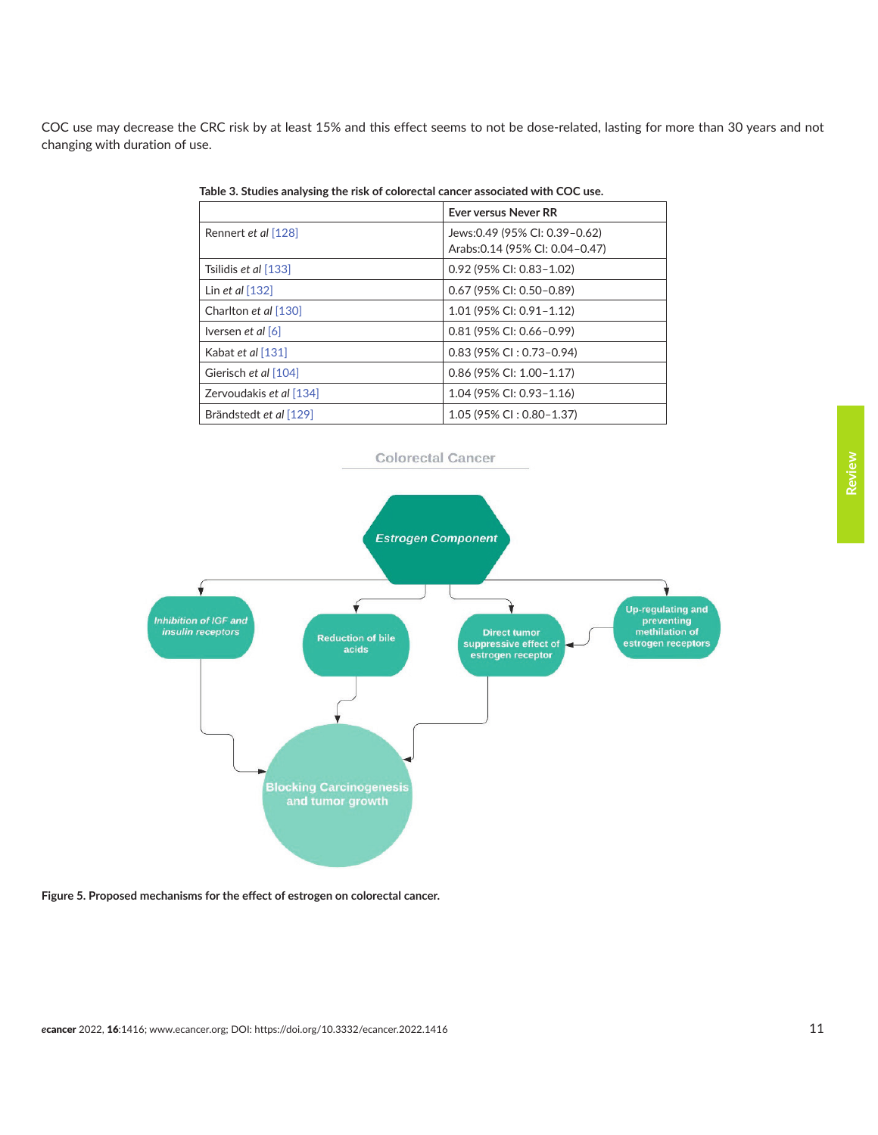<span id="page-10-0"></span>COC use may decrease the CRC risk by at least 15% and this effect seems to not be dose-related, lasting for more than 30 years and not changing with duration of use.

|                            | <b>Ever versus Never RR</b>      |
|----------------------------|----------------------------------|
| Rennert et al [128]        | Jews: 0.49 (95% CI: 0.39 - 0.62) |
|                            | Arabs: 0.14 (95% CI: 0.04-0.47)  |
| Tsilidis et al [133]       | 0.92 (95% CI: 0.83-1.02)         |
| Lin et al $[132]$          | $0.67$ (95% CI: 0.50-0.89)       |
| Charlton et al [130]       | 1.01 (95% CI: 0.91-1.12)         |
| Iversen <i>et al</i> $[6]$ | $0.81$ (95% CI: 0.66-0.99)       |
| Kabat et al [131]          | $0.83$ (95% CI: 0.73-0.94)       |
| Gierisch et al [104]       | $0.86$ (95% CI: 1.00-1.17)       |
| Zervoudakis et al [134]    | 1.04 (95% CI: 0.93-1.16)         |
| Brändstedt et al [129]     | $1.05$ (95% CI: 0.80-1.37)       |

**Table 3. Studies analysing the risk of colorectal cancer associated with COC use.**



**Figure 5. Proposed mechanisms for the effect of estrogen on colorectal cancer.**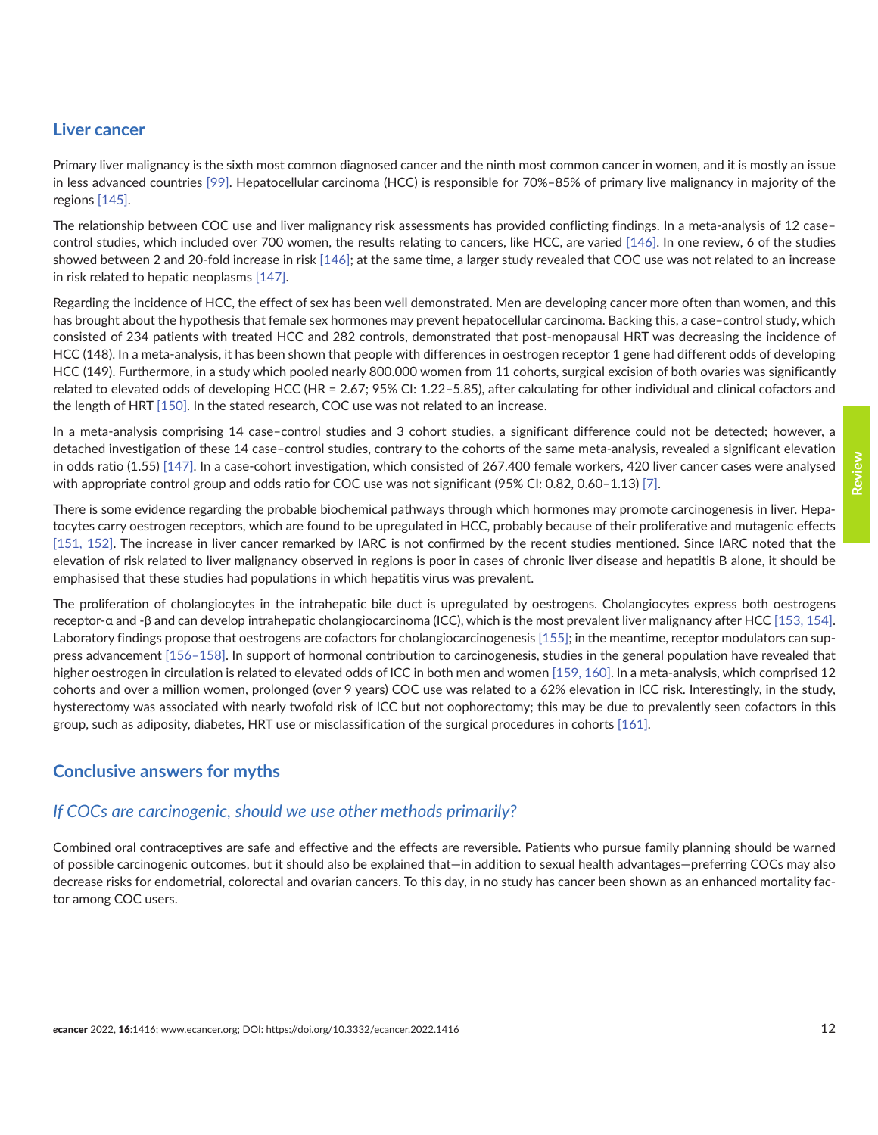#### **Liver cancer**

Primary liver malignancy is the sixth most common diagnosed cancer and the ninth most common cancer in women, and it is mostly an issue in less advanced countries [\[99\].](#page-19-0) Hepatocellular carcinoma (HCC) is responsible for 70%–85% of primary live malignancy in majority of the regions [\[145\]](#page-21-0).

The relationship between COC use and liver malignancy risk assessments has provided conflicting findings. In a meta-analysis of 12 case– control studies, which included over 700 women, the results relating to cancers, like HCC, are varied [\[146\].](#page-21-0) In one review, 6 of the studies showed between 2 and 20-fold increase in risk [\[146\]](#page-21-0); at the same time, a larger study revealed that COC use was not related to an increase in risk related to hepatic neoplasms [\[147\]](#page-21-0).

Regarding the incidence of HCC, the effect of sex has been well demonstrated. Men are developing cancer more often than women, and this has brought about the hypothesis that female sex hormones may prevent hepatocellular carcinoma. Backing this, a case–control study, which consisted of 234 patients with treated HCC and 282 controls, demonstrated that post-menopausal HRT was decreasing the incidence of HCC (148). In a meta-analysis, it has been shown that people with differences in oestrogen receptor 1 gene had different odds of developing HCC (149). Furthermore, in a study which pooled nearly 800.000 women from 11 cohorts, surgical excision of both ovaries was significantly related to elevated odds of developing HCC (HR = 2.67; 95% CI: 1.22–5.85), after calculating for other individual and clinical cofactors and the length of HRT [\[150\].](#page-22-0) In the stated research, COC use was not related to an increase.

In a meta-analysis comprising 14 case–control studies and 3 cohort studies, a significant difference could not be detected; however, a detached investigation of these 14 case–control studies, contrary to the cohorts of the same meta-analysis, revealed a significant elevation in odds ratio (1.55) [\[147\]](#page-21-0). In a case-cohort investigation, which consisted of 267.400 female workers, 420 liver cancer cases were analysed with appropriate control group and odds ratio for COC use was not significant (95% CI: 0.82, 0.60–1.13) [\[7\].](#page-13-0)

There is some evidence regarding the probable biochemical pathways through which hormones may promote carcinogenesis in liver. Hepatocytes carry oestrogen receptors, which are found to be upregulated in HCC, probably because of their proliferative and mutagenic effects [\[151,](#page-22-0) [152\]](#page-22-0). The increase in liver cancer remarked by IARC is not confirmed by the recent studies mentioned. Since IARC noted that the elevation of risk related to liver malignancy observed in regions is poor in cases of chronic liver disease and hepatitis B alone, it should be emphasised that these studies had populations in which hepatitis virus was prevalent.

The proliferation of cholangiocytes in the intrahepatic bile duct is upregulated by oestrogens. Cholangiocytes express both oestrogens receptor-α and -β and can develop intrahepatic cholangiocarcinoma (ICC), which is the most prevalent liver malignancy after HCC [\[153, 154\].](#page-22-0) Laboratory findings propose that oestrogens are cofactors for cholangiocarcinogenesis [\[155\];](#page-22-0) in the meantime, receptor modulators can suppress advancement [\[156–158\]](#page-22-0). In support of hormonal contribution to carcinogenesis, studies in the general population have revealed that higher oestrogen in circulation is related to elevated odds of ICC in both men and women [\[159, 160\]](#page-22-0). In a meta-analysis, which comprised 12 cohorts and over a million women, prolonged (over 9 years) COC use was related to a 62% elevation in ICC risk. Interestingly, in the study, hysterectomy was associated with nearly twofold risk of ICC but not oophorectomy; this may be due to prevalently seen cofactors in this group, such as adiposity, diabetes, HRT use or misclassification of the surgical procedures in cohorts [\[161\].](#page-22-0)

## **Conclusive answers for myths**

#### *If COCs are carcinogenic, should we use other methods primarily?*

Combined oral contraceptives are safe and effective and the effects are reversible. Patients who pursue family planning should be warned of possible carcinogenic outcomes, but it should also be explained that—in addition to sexual health advantages—preferring COCs may also decrease risks for endometrial, colorectal and ovarian cancers. To this day, in no study has cancer been shown as an enhanced mortality factor among COC users.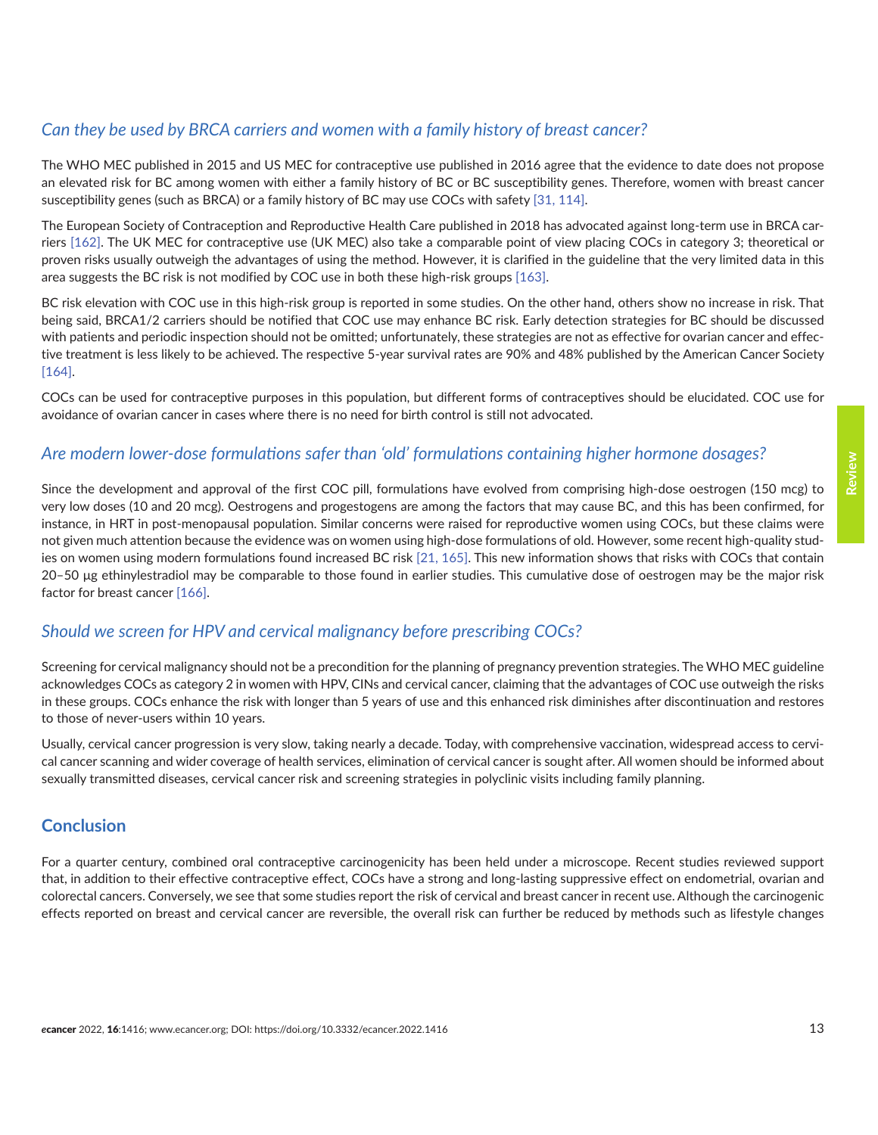## *Can they be used by BRCA carriers and women with a family history of breast cancer?*

The WHO MEC published in 2015 and US MEC for contraceptive use published in 2016 agree that the evidence to date does not propose an elevated risk for BC among women with either a family history of BC or BC susceptibility genes. Therefore, women with breast cancer susceptibility genes (such as BRCA) or a family history of BC may use COCs with safety [\[31,](#page-15-0) [114\].](#page-20-0)

The European Society of Contraception and Reproductive Health Care published in 2018 has advocated against long-term use in BRCA carriers [\[162\]](#page-22-0). The UK MEC for contraceptive use (UK MEC) also take a comparable point of view placing COCs in category 3; theoretical or proven risks usually outweigh the advantages of using the method. However, it is clarified in the guideline that the very limited data in this area suggests the BC risk is not modified by COC use in both these high-risk groups [\[163\].](#page-22-0)

BC risk elevation with COC use in this high-risk group is reported in some studies. On the other hand, others show no increase in risk. That being said, BRCA1/2 carriers should be notified that COC use may enhance BC risk. Early detection strategies for BC should be discussed with patients and periodic inspection should not be omitted; unfortunately, these strategies are not as effective for ovarian cancer and effective treatment is less likely to be achieved. The respective 5-year survival rates are 90% and 48% published by the American Cancer Society [\[164\]](#page-22-0).

COCs can be used for contraceptive purposes in this population, but different forms of contraceptives should be elucidated. COC use for avoidance of ovarian cancer in cases where there is no need for birth control is still not advocated.

#### *Are modern lower-dose formulations safer than 'old' formulations containing higher hormone dosages?*

Since the development and approval of the first COC pill, formulations have evolved from comprising high-dose oestrogen (150 mcg) to very low doses (10 and 20 mcg). Oestrogens and progestogens are among the factors that may cause BC, and this has been confirmed, for instance, in HRT in post-menopausal population. Similar concerns were raised for reproductive women using COCs, but these claims were not given much attention because the evidence was on women using high-dose formulations of old. However, some recent high-quality studies on women using modern formulations found increased BC risk [\[21,](#page-14-0) [165\]](#page-23-0). This new information shows that risks with COCs that contain 20–50 μg ethinylestradiol may be comparable to those found in earlier studies. This cumulative dose of oestrogen may be the major risk factor for breast cancer [\[166\]](#page-23-0).

## *Should we screen for HPV and cervical malignancy before prescribing COCs?*

Screening for cervical malignancy should not be a precondition for the planning of pregnancy prevention strategies. The WHO MEC guideline acknowledges COCs as category 2 in women with HPV, CINs and cervical cancer, claiming that the advantages of COC use outweigh the risks in these groups. COCs enhance the risk with longer than 5 years of use and this enhanced risk diminishes after discontinuation and restores to those of never-users within 10 years.

Usually, cervical cancer progression is very slow, taking nearly a decade. Today, with comprehensive vaccination, widespread access to cervical cancer scanning and wider coverage of health services, elimination of cervical cancer is sought after. All women should be informed about sexually transmitted diseases, cervical cancer risk and screening strategies in polyclinic visits including family planning.

## **Conclusion**

For a quarter century, combined oral contraceptive carcinogenicity has been held under a microscope. Recent studies reviewed support that, in addition to their effective contraceptive effect, COCs have a strong and long-lasting suppressive effect on endometrial, ovarian and colorectal cancers. Conversely, we see that some studies report the risk of cervical and breast cancer in recent use. Although the carcinogenic effects reported on breast and cervical cancer are reversible, the overall risk can further be reduced by methods such as lifestyle changes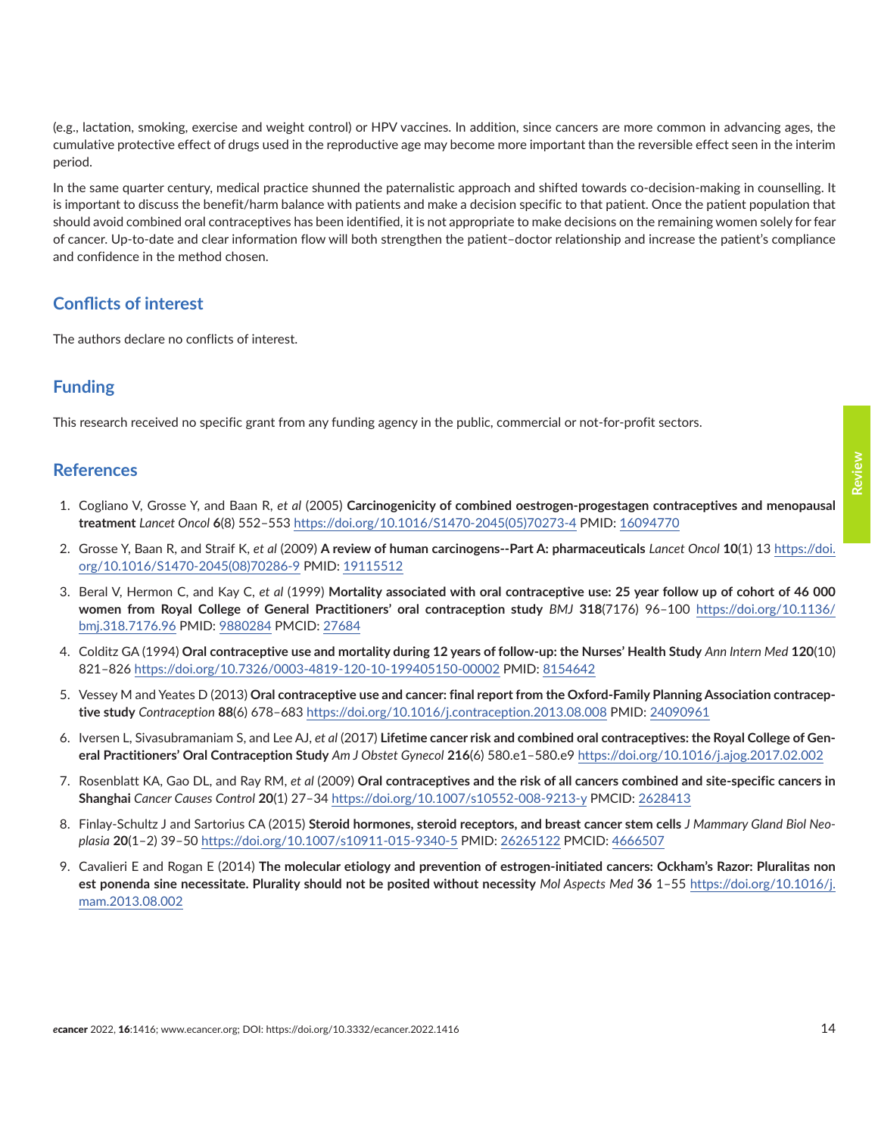<span id="page-13-0"></span>(e.g., lactation, smoking, exercise and weight control) or HPV vaccines. In addition, since cancers are more common in advancing ages, the cumulative protective effect of drugs used in the reproductive age may become more important than the reversible effect seen in the interim period.

In the same quarter century, medical practice shunned the paternalistic approach and shifted towards co-decision-making in counselling. It is important to discuss the benefit/harm balance with patients and make a decision specific to that patient. Once the patient population that should avoid combined oral contraceptives has been identified, it is not appropriate to make decisions on the remaining women solely for fear of cancer. Up-to-date and clear information flow will both strengthen the patient–doctor relationship and increase the patient's compliance and confidence in the method chosen.

#### **Conflicts of interest**

The authors declare no conflicts of interest.

## **Funding**

This research received no specific grant from any funding agency in the public, commercial or not-for-profit sectors.

#### **References**

- 1. Cogliano V, Grosse Y, and Baan R, *et al* (2005) **Carcinogenicity of combined oestrogen-progestagen contraceptives and menopausal treatment** *Lancet Oncol* **6**(8) 552–553 [https://doi.org/10.1016/S1470-2045\(05\)70273-4](https://doi.org/10.1016/S1470-2045(05)70273-4) PMID: [16094770](http://www.ncbi.nlm.nih.gov/pubmed/16094770)
- 2. Grosse Y, Baan R, and Straif K, *et al* (2009) **A review of human carcinogens--Part A: pharmaceuticals** *Lancet Oncol* **10**(1) 13 [https://doi.](https://doi.org/10.1016/S1470-2045(08)70286-9) [org/10.1016/S1470-2045\(08\)70286-9](https://doi.org/10.1016/S1470-2045(08)70286-9) PMID: [19115512](http://www.ncbi.nlm.nih.gov/pubmed/19115512)
- 3. Beral V, Hermon C, and Kay C, *et al* (1999) **Mortality associated with oral contraceptive use: 25 year follow up of cohort of 46 000 women from Royal College of General Practitioners' oral contraception study** *BMJ* **318**(7176) 96–100 [https://doi.org/10.1136/](https://doi.org/10.1136/bmj.318.7176.96) [bmj.318.7176.96](https://doi.org/10.1136/bmj.318.7176.96) PMID: [9880284](http://www.ncbi.nlm.nih.gov/pubmed/9880284) PMCID: [27684](http://www.ncbi.nlm.nih.gov/pmc/articles/PMC27684)
- 4. Colditz GA (1994) **Oral contraceptive use and mortality during 12 years of follow-up: the Nurses' Health Study** *Ann Intern Med* **120**(10) 821–826 <https://doi.org/10.7326/0003-4819-120-10-199405150-00002>PMID: [8154642](http://www.ncbi.nlm.nih.gov/pubmed/8154642)
- 5. Vessey M and Yeates D (2013) **Oral contraceptive use and cancer: final report from the Oxford-Family Planning Association contraceptive study** *Contraception* **88**(6) 678–683 <https://doi.org/10.1016/j.contraception.2013.08.008> PMID: [24090961](http://www.ncbi.nlm.nih.gov/pubmed/24090961)
- 6. Iversen L, Sivasubramaniam S, and Lee AJ, *et al* (2017) **Lifetime cancer risk and combined oral contraceptives: the Royal College of General Practitioners' Oral Contraception Study** *Am J Obstet Gynecol* **216**(6) 580.e1–580.e9<https://doi.org/10.1016/j.ajog.2017.02.002>
- 7. Rosenblatt KA, Gao DL, and Ray RM, *et al* (2009) **Oral contraceptives and the risk of all cancers combined and site-specific cancers in Shanghai** *Cancer Causes Control* **20**(1) 27–34 <https://doi.org/10.1007/s10552-008-9213-y> PMCID: [2628413](http://www.ncbi.nlm.nih.gov/pmc/articles/PMC2628413)
- 8. Finlay-Schultz J and Sartorius CA (2015) **Steroid hormones, steroid receptors, and breast cancer stem cells** *J Mammary Gland Biol Neoplasia* **20**(1–2) 39–50 <https://doi.org/10.1007/s10911-015-9340-5> PMID: [26265122](http://www.ncbi.nlm.nih.gov/pubmed/26265122) PMCID: [4666507](http://www.ncbi.nlm.nih.gov/pmc/articles/PMC4666507)
- 9. Cavalieri E and Rogan E (2014) **The molecular etiology and prevention of estrogen-initiated cancers: Ockham's Razor: Pluralitas non est ponenda sine necessitate. Plurality should not be posited without necessity** *Mol Aspects Med* **36** 1–55 [https://doi.org/10.1016/j.](https://doi.org/10.1016/j.mam.2013.08.002) [mam.2013.08.002](https://doi.org/10.1016/j.mam.2013.08.002)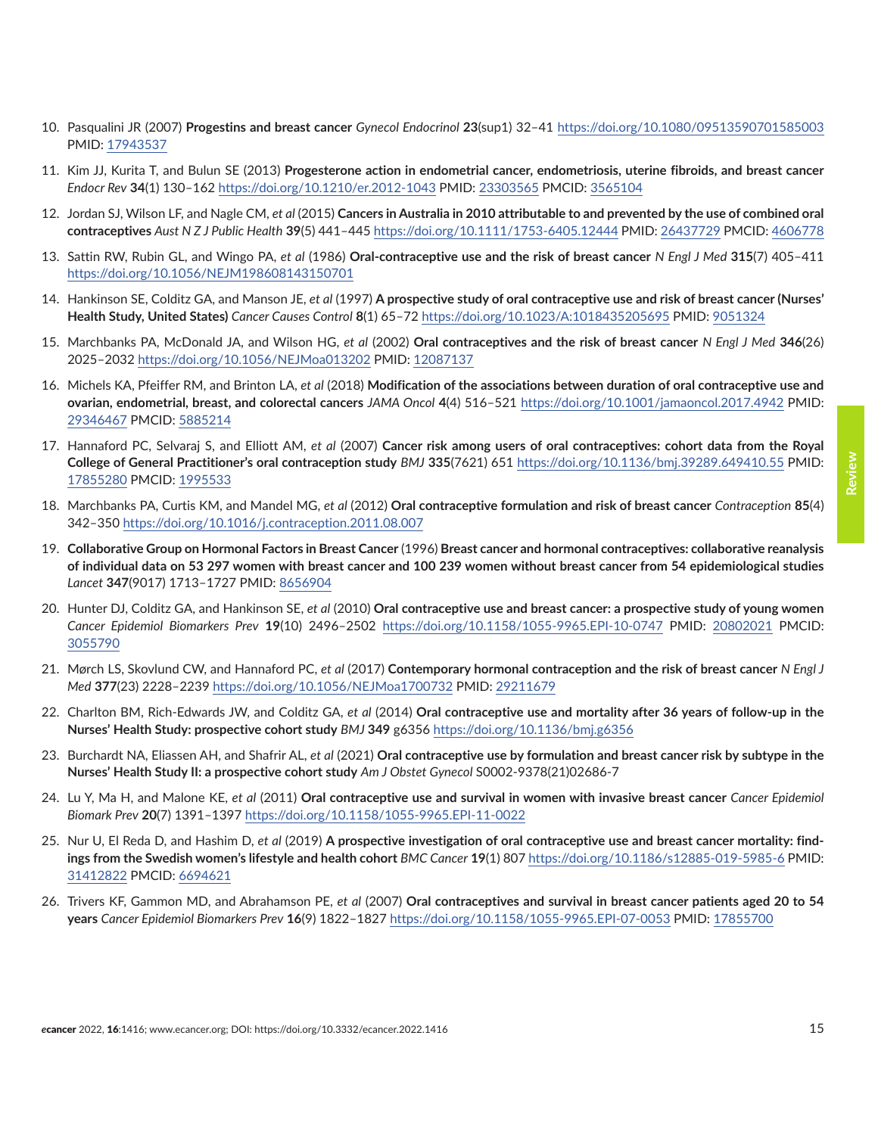12. Jordan SJ, Wilson LF, and Nagle CM, *et al* (2015) **Cancers in Australia in 2010 attributable to and prevented by the use of combined oral contraceptives** *Aust N Z J Public Health* **39**(5) 441–445 <https://doi.org/10.1111/1753-6405.12444> PMID: [26437729](http://www.ncbi.nlm.nih.gov/pubmed/26437729) PMCID: [4606778](http://www.ncbi.nlm.nih.gov/pmc/articles/PMC4606778)

<span id="page-14-0"></span>10. Pasqualini JR (2007) **Progestins and breast cancer** *Gynecol Endocrinol* **23**(sup1) 32–41 <https://doi.org/10.1080/09513590701585003>

- 13. Sattin RW, Rubin GL, and Wingo PA, *et al* (1986) **Oral-contraceptive use and the risk of breast cancer** *N Engl J Med* **315**(7) 405–411 <https://doi.org/10.1056/NEJM198608143150701>
- 14. Hankinson SE, Colditz GA, and Manson JE, *et al* (1997) **A prospective study of oral contraceptive use and risk of breast cancer (Nurses' Health Study, United States)** *Cancer Causes Control* **8**(1) 65–72<https://doi.org/10.1023/A:1018435205695> PMID: [9051324](http://www.ncbi.nlm.nih.gov/pubmed/9051324)
- 15. Marchbanks PA, McDonald JA, and Wilson HG, *et al* (2002) **Oral contraceptives and the risk of breast cancer** *N Engl J Med* **346**(26) 2025–2032<https://doi.org/10.1056/NEJMoa013202>PMID: [12087137](http://www.ncbi.nlm.nih.gov/pubmed/12087137)
- 16. Michels KA, Pfeiffer RM, and Brinton LA, *et al* (2018) **Modification of the associations between duration of oral contraceptive use and ovarian, endometrial, breast, and colorectal cancers** *JAMA Oncol* **4**(4) 516–521 <https://doi.org/10.1001/jamaoncol.2017.4942>PMID: [29346467](http://www.ncbi.nlm.nih.gov/pubmed/29346467) PMCID: [5885214](http://www.ncbi.nlm.nih.gov/pmc/articles/PMC5885214)
- 17. Hannaford PC, Selvaraj S, and Elliott AM, *et al* (2007) **Cancer risk among users of oral contraceptives: cohort data from the Royal College of General Practitioner's oral contraception study** *BMJ* **335**(7621) 651 <https://doi.org/10.1136/bmj.39289.649410.55>PMID: [17855280](http://www.ncbi.nlm.nih.gov/pubmed/17855280) PMCID: [1995533](http://www.ncbi.nlm.nih.gov/pmc/articles/PMC1995533)
- 18. Marchbanks PA, Curtis KM, and Mandel MG, *et al* (2012) **Oral contraceptive formulation and risk of breast cancer** *Contraception* **85**(4) 342–350 <https://doi.org/10.1016/j.contraception.2011.08.007>
- 19. **Collaborative Group on Hormonal Factors in Breast Cancer** (1996) **Breast cancer and hormonal contraceptives: collaborative reanalysis of individual data on 53 297 women with breast cancer and 100 239 women without breast cancer from 54 epidemiological studies** *Lancet* **347**(9017) 1713–1727 PMID: [8656904](http://www.ncbi.nlm.nih.gov/pubmed/8656904)
- 20. Hunter DJ, Colditz GA, and Hankinson SE, *et al* (2010) **Oral contraceptive use and breast cancer: a prospective study of young women** *Cancer Epidemiol Biomarkers Prev* **19**(10) 2496–2502 <https://doi.org/10.1158/1055-9965.EPI-10-0747>PMID: [20802021](http://www.ncbi.nlm.nih.gov/pubmed/20802021) PMCID: [3055790](http://www.ncbi.nlm.nih.gov/pmc/articles/PMC3055790)
- 21. Mørch LS, Skovlund CW, and Hannaford PC, *et al* (2017) **Contemporary hormonal contraception and the risk of breast cancer** *N Engl J Med* **377**(23) 2228–2239<https://doi.org/10.1056/NEJMoa1700732>PMID: [29211679](http://www.ncbi.nlm.nih.gov/pubmed/29211679)
- 22. Charlton BM, Rich-Edwards JW, and Colditz GA, *et al* (2014) **Oral contraceptive use and mortality after 36 years of follow-up in the Nurses' Health Study: prospective cohort study** *BMJ* **349** g6356<https://doi.org/10.1136/bmj.g6356>
- 23. Burchardt NA, Eliassen AH, and Shafrir AL, *et al* (2021) **Oral contraceptive use by formulation and breast cancer risk by subtype in the Nurses' Health Study II: a prospective cohort study** *Am J Obstet Gynecol* S0002-9378(21)02686-7
- 24. Lu Y, Ma H, and Malone KE, *et al* (2011) **Oral contraceptive use and survival in women with invasive breast cancer** *Cancer Epidemiol Biomark Prev* **20**(7) 1391–1397 <https://doi.org/10.1158/1055-9965.EPI-11-0022>
- 25. Nur U, El Reda D, and Hashim D, *et al* (2019) **A prospective investigation of oral contraceptive use and breast cancer mortality: findings from the Swedish women's lifestyle and health cohort** *BMC Cancer* **19**(1) 807 <https://doi.org/10.1186/s12885-019-5985-6> PMID: [31412822](http://www.ncbi.nlm.nih.gov/pubmed/31412822) PMCID: [6694621](http://www.ncbi.nlm.nih.gov/pmc/articles/PMC6694621)
- 26. Trivers KF, Gammon MD, and Abrahamson PE, *et al* (2007) **Oral contraceptives and survival in breast cancer patients aged 20 to 54 years** *Cancer Epidemiol Biomarkers Prev* **16**(9) 1822–1827<https://doi.org/10.1158/1055-9965.EPI-07-0053>PMID: [17855700](http://www.ncbi.nlm.nih.gov/pubmed/17855700)

PMID: [17943537](http://www.ncbi.nlm.nih.gov/pubmed/17943537)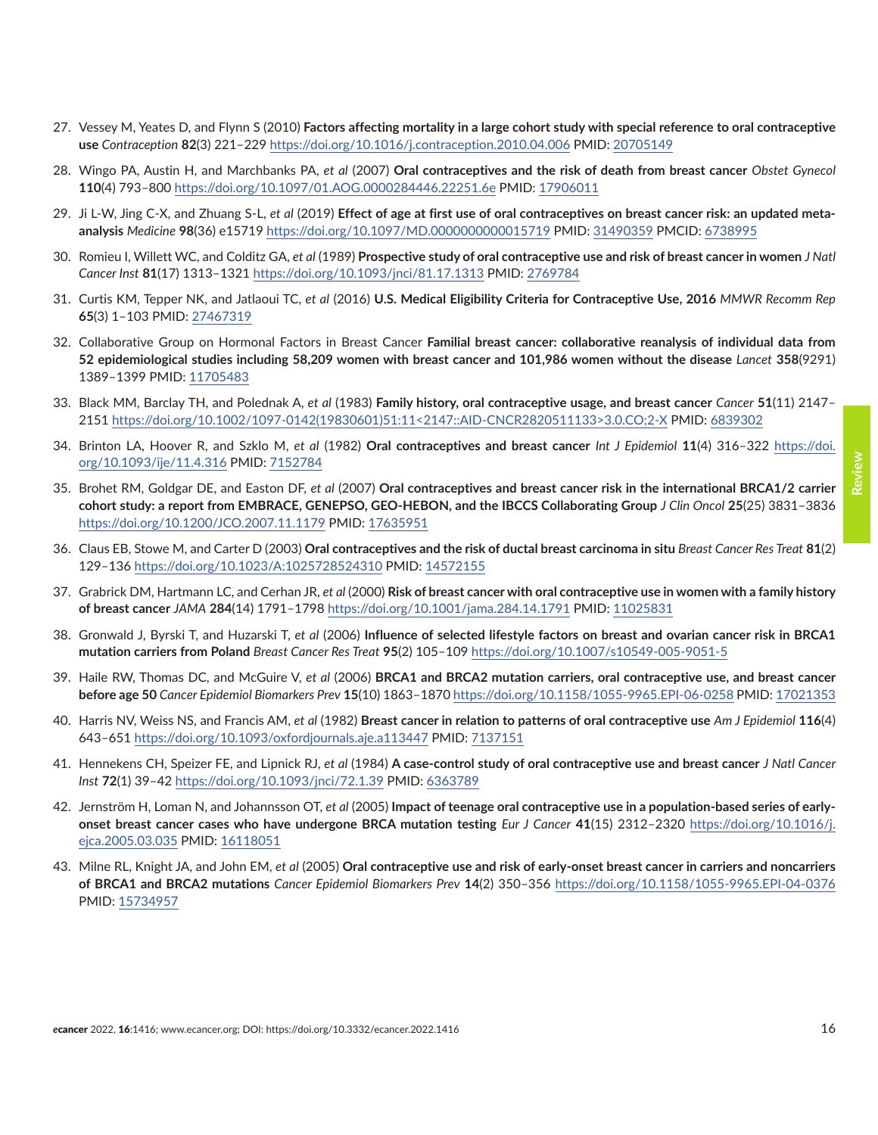- <span id="page-15-0"></span>27. Vessey M, Yeates D, and Flynn S (2010) **Factors affecting mortality in a large cohort study with special reference to oral contraceptive use** *Contraception* **82**(3) 221–229<https://doi.org/10.1016/j.contraception.2010.04.006>PMID: [20705149](http://www.ncbi.nlm.nih.gov/pubmed/20705149)
- 28. Wingo PA, Austin H, and Marchbanks PA, *et al* (2007) **Oral contraceptives and the risk of death from breast cancer** *Obstet Gynecol* **110**(4) 793–800 <https://doi.org/10.1097/01.AOG.0000284446.22251.6e> PMID: [17906011](http://www.ncbi.nlm.nih.gov/pubmed/17906011)
- 29. Ji L-W, Jing C-X, and Zhuang S-L, *et al* (2019) **Effect of age at first use of oral contraceptives on breast cancer risk: an updated metaanalysis** *Medicine* **98**(36) e15719<https://doi.org/10.1097/MD.0000000000015719>PMID: [31490359](http://www.ncbi.nlm.nih.gov/pubmed/31490359) PMCID: [6738995](http://www.ncbi.nlm.nih.gov/pmc/articles/PMC6738995)
- 30. Romieu I, Willett WC, and Colditz GA, *et al* (1989) **Prospective study of oral contraceptive use and risk of breast cancer in women** *J Natl Cancer Inst* **81**(17) 1313–1321 <https://doi.org/10.1093/jnci/81.17.1313>PMID: [2769784](http://www.ncbi.nlm.nih.gov/pubmed/2769784)
- 31. Curtis KM, Tepper NK, and Jatlaoui TC, *et al* (2016) **U.S. Medical Eligibility Criteria for Contraceptive Use, 2016** *MMWR Recomm Rep* **65**(3) 1–103 PMID: [27467319](http://www.ncbi.nlm.nih.gov/pubmed/27467319)
- 32. Collaborative Group on Hormonal Factors in Breast Cancer **Familial breast cancer: collaborative reanalysis of individual data from 52 epidemiological studies including 58,209 women with breast cancer and 101,986 women without the disease** *Lancet* **358**(9291) 1389–1399 PMID: [11705483](http://www.ncbi.nlm.nih.gov/pubmed/11705483)
- 33. Black MM, Barclay TH, and Polednak A, *et al* (1983) **Family history, oral contraceptive usage, and breast cancer** *Cancer* **51**(11) 2147– 2151 [https://doi.org/10.1002/1097-0142\(19830601\)51:11<2147::AID-CNCR2820511133>3.0.CO;2-X](https://doi.org/10.1002/1097-0142(19830601)51:11<2147::AID-CNCR2820511133>3.0.CO;2-X) PMID: [6839302](http://www.ncbi.nlm.nih.gov/pubmed/6839302)
- 34. Brinton LA, Hoover R, and Szklo M, *et al* (1982) **Oral contraceptives and breast cancer** *Int J Epidemiol* **11**(4) 316–322 [https://doi.](https://doi.org/10.1093/ije/11.4.316) [org/10.1093/ije/11.4.316](https://doi.org/10.1093/ije/11.4.316) PMID: [7152784](http://www.ncbi.nlm.nih.gov/pubmed/7152784)
- 35. Brohet RM, Goldgar DE, and Easton DF, *et al* (2007) **Oral contraceptives and breast cancer risk in the international BRCA1/2 carrier cohort study: a report from EMBRACE, GENEPSO, GEO-HEBON, and the IBCCS Collaborating Group** *J Clin Oncol* **25**(25) 3831–3836 <https://doi.org/10.1200/JCO.2007.11.1179>PMID: [17635951](http://www.ncbi.nlm.nih.gov/pubmed/17635951)
- 36. Claus EB, Stowe M, and Carter D (2003) **Oral contraceptives and the risk of ductal breast carcinoma in situ** *Breast Cancer Res Treat* **81**(2) 129–136 <https://doi.org/10.1023/A:1025728524310>PMID: [14572155](http://www.ncbi.nlm.nih.gov/pubmed/14572155)
- 37. Grabrick DM, Hartmann LC, and Cerhan JR, *et al* (2000) **Risk of breast cancer with oral contraceptive use in women with a family history of breast cancer** *JAMA* **284**(14) 1791–1798 <https://doi.org/10.1001/jama.284.14.1791>PMID: [11025831](http://www.ncbi.nlm.nih.gov/pubmed/11025831)
- 38. Gronwald J, Byrski T, and Huzarski T, *et al* (2006) **Influence of selected lifestyle factors on breast and ovarian cancer risk in BRCA1 mutation carriers from Poland** *Breast Cancer Res Treat* **95**(2) 105–109 <https://doi.org/10.1007/s10549-005-9051-5>
- 39. Haile RW, Thomas DC, and McGuire V, *et al* (2006) **BRCA1 and BRCA2 mutation carriers, oral contraceptive use, and breast cancer before age 50** *Cancer Epidemiol Biomarkers Prev* **15**(10) 1863–1870<https://doi.org/10.1158/1055-9965.EPI-06-0258>PMID: [17021353](http://www.ncbi.nlm.nih.gov/pubmed/17021353)
- 40. Harris NV, Weiss NS, and Francis AM, *et al* (1982) **Breast cancer in relation to patterns of oral contraceptive use** *Am J Epidemiol* **116**(4) 643–651 <https://doi.org/10.1093/oxfordjournals.aje.a113447>PMID: [7137151](http://www.ncbi.nlm.nih.gov/pubmed/7137151)
- 41. Hennekens CH, Speizer FE, and Lipnick RJ, *et al* (1984) **A case-control study of oral contraceptive use and breast cancer** *J Natl Cancer Inst* **72**(1) 39–42<https://doi.org/10.1093/jnci/72.1.39>PMID: [6363789](http://www.ncbi.nlm.nih.gov/pubmed/6363789)
- 42. Jernström H, Loman N, and Johannsson OT, *et al* (2005) **Impact of teenage oral contraceptive use in a population-based series of earlyonset breast cancer cases who have undergone BRCA mutation testing** *Eur J Cancer* **41**(15) 2312–2320 [https://doi.org/10.1016/j.](https://doi.org/10.1016/j.ejca.2005.03.035) [ejca.2005.03.035](https://doi.org/10.1016/j.ejca.2005.03.035) PMID: [16118051](http://www.ncbi.nlm.nih.gov/pubmed/16118051)
- 43. Milne RL, Knight JA, and John EM, *et al* (2005) **Oral contraceptive use and risk of early-onset breast cancer in carriers and noncarriers of BRCA1 and BRCA2 mutations** *Cancer Epidemiol Biomarkers Prev* **14**(2) 350–356 <https://doi.org/10.1158/1055-9965.EPI-04-0376> PMID: [15734957](http://www.ncbi.nlm.nih.gov/pubmed/15734957)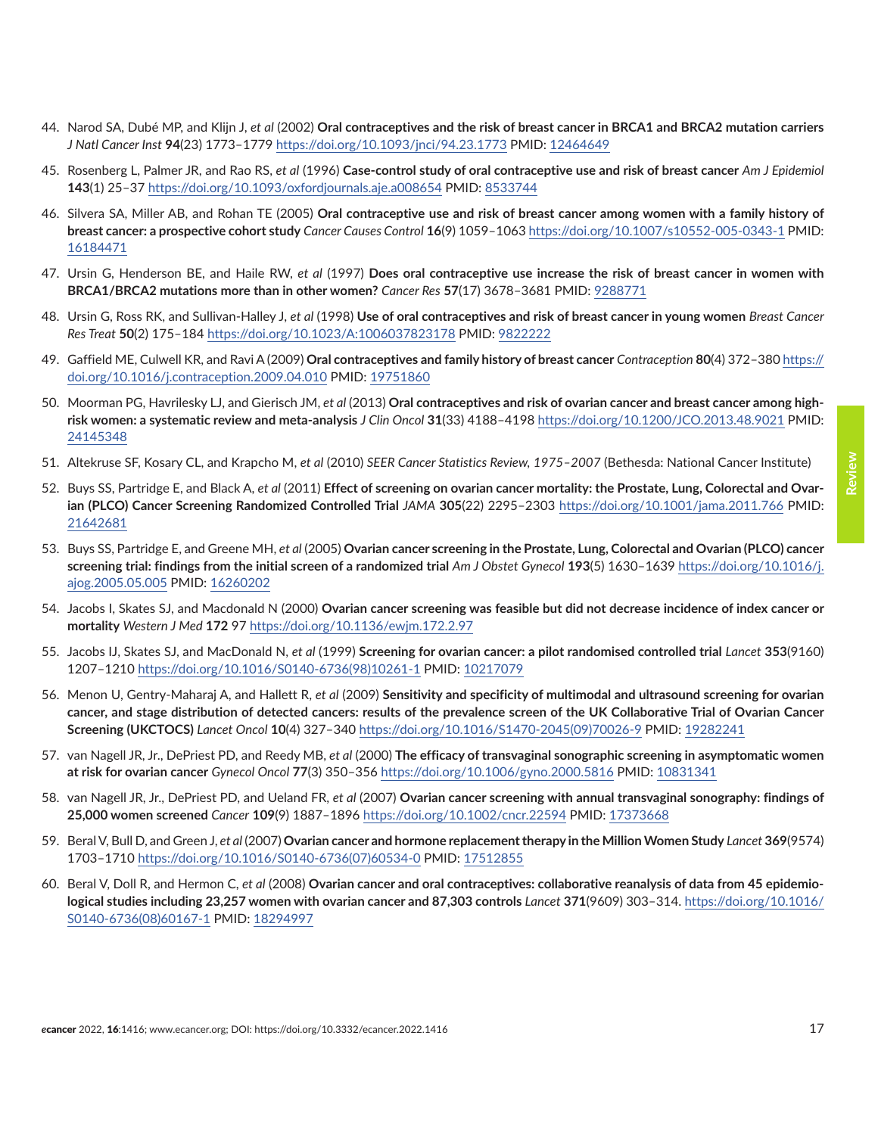- <span id="page-16-0"></span>44. Narod SA, Dubé MP, and Klijn J, *et al* (2002) **Oral contraceptives and the risk of breast cancer in BRCA1 and BRCA2 mutation carriers** *J Natl Cancer Inst* **94**(23) 1773–1779 <https://doi.org/10.1093/jnci/94.23.1773>PMID: [12464649](http://www.ncbi.nlm.nih.gov/pubmed/12464649)
- 45. Rosenberg L, Palmer JR, and Rao RS, *et al* (1996) **Case-control study of oral contraceptive use and risk of breast cancer** *Am J Epidemiol* **143**(1) 25–37<https://doi.org/10.1093/oxfordjournals.aje.a008654> PMID: [8533744](http://www.ncbi.nlm.nih.gov/pubmed/8533744)
- 46. Silvera SA, Miller AB, and Rohan TE (2005) **Oral contraceptive use and risk of breast cancer among women with a family history of breast cancer: a prospective cohort study** *Cancer Causes Control* **16**(9) 1059–1063<https://doi.org/10.1007/s10552-005-0343-1>PMID: [16184471](http://www.ncbi.nlm.nih.gov/pubmed/16184471)
- 47. Ursin G, Henderson BE, and Haile RW, *et al* (1997) **Does oral contraceptive use increase the risk of breast cancer in women with BRCA1/BRCA2 mutations more than in other women?** *Cancer Res* **57**(17) 3678–3681 PMID: [9288771](http://www.ncbi.nlm.nih.gov/pubmed/9288771)
- 48. Ursin G, Ross RK, and Sullivan-Halley J, *et al* (1998) **Use of oral contraceptives and risk of breast cancer in young women** *Breast Cancer Res Treat* **50**(2) 175–184 <https://doi.org/10.1023/A:1006037823178>PMID: [9822222](http://www.ncbi.nlm.nih.gov/pubmed/9822222)
- 49. Gaffield ME, Culwell KR, and Ravi A (2009) **Oral contraceptives and family history of breast cancer** *Contraception* **80**(4) 372–380 [https://](https://doi.org/10.1016/j.contraception.2009.04.010) [doi.org/10.1016/j.contraception.2009.04.010](https://doi.org/10.1016/j.contraception.2009.04.010) PMID: [19751860](http://www.ncbi.nlm.nih.gov/pubmed/19751860)
- 50. Moorman PG, Havrilesky LJ, and Gierisch JM, *et al* (2013) **Oral contraceptives and risk of ovarian cancer and breast cancer among highrisk women: a systematic review and meta-analysis** *J Clin Oncol* **31**(33) 4188–4198<https://doi.org/10.1200/JCO.2013.48.9021> PMID: [24145348](http://www.ncbi.nlm.nih.gov/pubmed/24145348)
- 51. Altekruse SF, Kosary CL, and Krapcho M, *et al* (2010) *SEER Cancer Statistics Review, 1975–2007* (Bethesda: National Cancer Institute)
- 52. Buys SS, Partridge E, and Black A, *et al* (2011) **Effect of screening on ovarian cancer mortality: the Prostate, Lung, Colorectal and Ovarian (PLCO) Cancer Screening Randomized Controlled Trial** *JAMA* **305**(22) 2295–2303 <https://doi.org/10.1001/jama.2011.766>PMID: [21642681](http://www.ncbi.nlm.nih.gov/pubmed/21642681)
- 53. Buys SS, Partridge E, and Greene MH, *et al* (2005) **Ovarian cancer screening in the Prostate, Lung, Colorectal and Ovarian (PLCO) cancer screening trial: findings from the initial screen of a randomized trial** *Am J Obstet Gynecol* **193**(5) 1630–1639 [https://doi.org/10.1016/j.](https://doi.org/10.1016/j.ajog.2005.05.005) [ajog.2005.05.005](https://doi.org/10.1016/j.ajog.2005.05.005) PMID: [16260202](http://www.ncbi.nlm.nih.gov/pubmed/16260202)
- 54. Jacobs I, Skates SJ, and Macdonald N (2000) **Ovarian cancer screening was feasible but did not decrease incidence of index cancer or mortality** *Western J Med* **172** 97<https://doi.org/10.1136/ewjm.172.2.97>
- 55. Jacobs IJ, Skates SJ, and MacDonald N, *et al* (1999) **Screening for ovarian cancer: a pilot randomised controlled trial** *Lancet* **353**(9160) 1207–1210 [https://doi.org/10.1016/S0140-6736\(98\)10261-1](https://doi.org/10.1016/S0140-6736(98)10261-1) PMID: [10217079](http://www.ncbi.nlm.nih.gov/pubmed/10217079)
- 56. Menon U, Gentry-Maharaj A, and Hallett R, *et al* (2009) **Sensitivity and specificity of multimodal and ultrasound screening for ovarian cancer, and stage distribution of detected cancers: results of the prevalence screen of the UK Collaborative Trial of Ovarian Cancer Screening (UKCTOCS)** *Lancet Oncol* **10**(4) 327–340 [https://doi.org/10.1016/S1470-2045\(09\)70026-9](https://doi.org/10.1016/S1470-2045(09)70026-9) PMID: [19282241](http://www.ncbi.nlm.nih.gov/pubmed/19282241)
- 57. van Nagell JR, Jr., DePriest PD, and Reedy MB, *et al* (2000) **The efficacy of transvaginal sonographic screening in asymptomatic women at risk for ovarian cancer** *Gynecol Oncol* **77**(3) 350–356 <https://doi.org/10.1006/gyno.2000.5816> PMID: [10831341](http://www.ncbi.nlm.nih.gov/pubmed/10831341)
- 58. van Nagell JR, Jr., DePriest PD, and Ueland FR, *et al* (2007) **Ovarian cancer screening with annual transvaginal sonography: findings of 25,000 women screened** *Cancer* **109**(9) 1887–1896<https://doi.org/10.1002/cncr.22594> PMID: [17373668](http://www.ncbi.nlm.nih.gov/pubmed/17373668)
- 59. Beral V, Bull D, and Green J, *et al* (2007) **Ovarian cancer and hormone replacement therapy in the Million Women Study** *Lancet* **369**(9574) 1703–1710 [https://doi.org/10.1016/S0140-6736\(07\)60534-0](https://doi.org/10.1016/S0140-6736(07)60534-0) PMID: [17512855](http://www.ncbi.nlm.nih.gov/pubmed/17512855)
- 60. Beral V, Doll R, and Hermon C, *et al* (2008) **Ovarian cancer and oral contraceptives: collaborative reanalysis of data from 45 epidemiological studies including 23,257 women with ovarian cancer and 87,303 controls** *Lancet* **371**(9609) 303–314. [https://doi.org/10.1016/](https://doi.org/10.1016/S0140-6736(08)60167-1) [S0140-6736\(08\)60167-1](https://doi.org/10.1016/S0140-6736(08)60167-1) PMID: [18294997](http://www.ncbi.nlm.nih.gov/pubmed/18294997)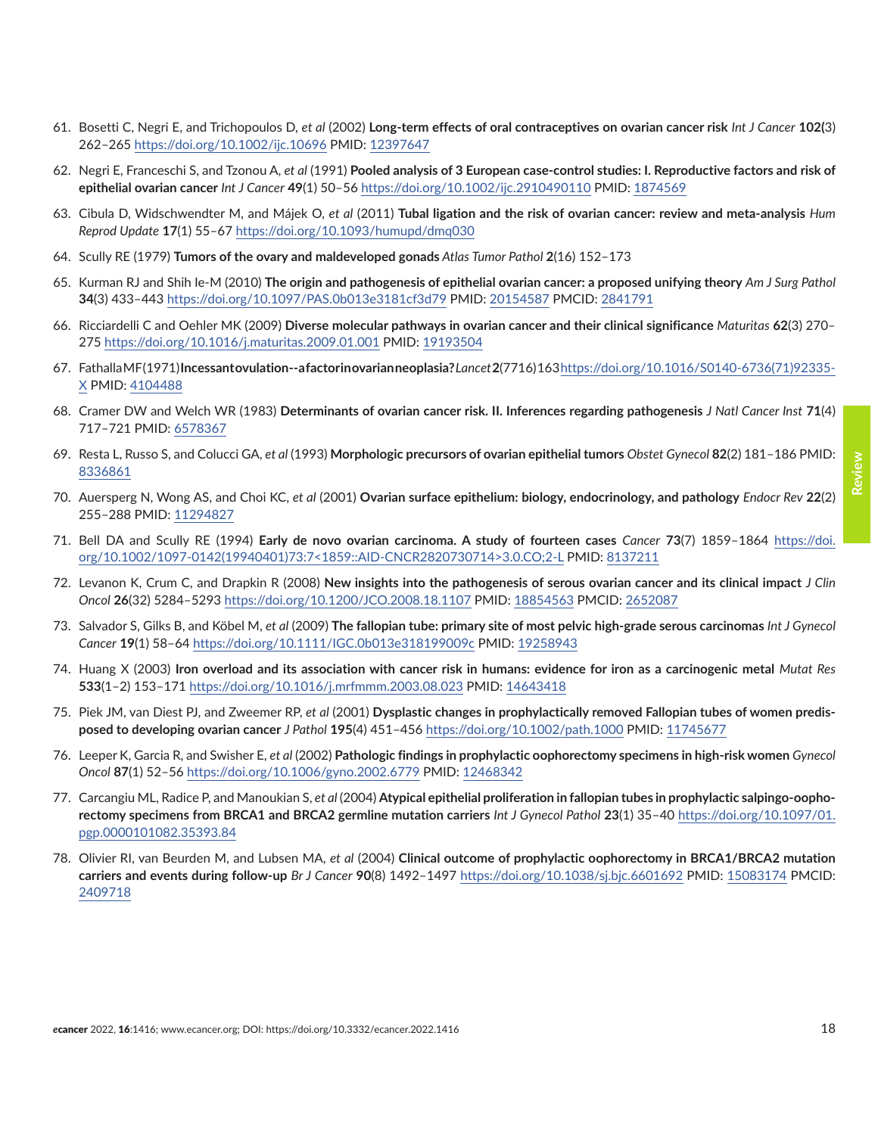- <span id="page-17-0"></span>61. Bosetti C, Negri E, and Trichopoulos D, *et al* (2002) **Long-term effects of oral contraceptives on ovarian cancer risk** *Int J Cancer* **102(**3) 262–265 <https://doi.org/10.1002/ijc.10696>PMID: [12397647](http://www.ncbi.nlm.nih.gov/pubmed/12397647)
- 62. Negri E, Franceschi S, and Tzonou A, *et al* (1991) **Pooled analysis of 3 European case-control studies: I. Reproductive factors and risk of epithelial ovarian cancer** *Int J Cancer* **49**(1) 50–56 <https://doi.org/10.1002/ijc.2910490110> PMID: [1874569](http://www.ncbi.nlm.nih.gov/pubmed/1874569)
- 63. Cibula D, Widschwendter M, and Májek O, *et al* (2011) **Tubal ligation and the risk of ovarian cancer: review and meta-analysis** *Hum Reprod Update* **17**(1) 55–67 <https://doi.org/10.1093/humupd/dmq030>
- 64. Scully RE (1979) **Tumors of the ovary and maldeveloped gonads** *Atlas Tumor Pathol* **2**(16) 152–173
- 65. Kurman RJ and Shih Ie-M (2010) **The origin and pathogenesis of epithelial ovarian cancer: a proposed unifying theory** *Am J Surg Pathol* **34**(3) 433–443 <https://doi.org/10.1097/PAS.0b013e3181cf3d79>PMID: [20154587](http://www.ncbi.nlm.nih.gov/pubmed/20154587) PMCID: [2841791](http://www.ncbi.nlm.nih.gov/pmc/articles/PMC2841791)
- 66. Ricciardelli C and Oehler MK (2009) **Diverse molecular pathways in ovarian cancer and their clinical significance** *Maturitas* **62**(3) 270– 275 <https://doi.org/10.1016/j.maturitas.2009.01.001>PMID: [19193504](http://www.ncbi.nlm.nih.gov/pubmed/19193504)
- 67. Fathalla MF (1971) **Incessant ovulation--a factor in ovarian neoplasia?***Lancet***2**(7716) 163 [https://doi.org/10.1016/S0140-6736\(71\)92335-](https://doi.org/10.1016/S0140-6736(71)92335-X) [X](https://doi.org/10.1016/S0140-6736(71)92335-X) PMID: [4104488](http://www.ncbi.nlm.nih.gov/pubmed/4104488)
- 68. Cramer DW and Welch WR (1983) **Determinants of ovarian cancer risk. II. Inferences regarding pathogenesis** *J Natl Cancer Inst* **71**(4) 717–721 PMID: [6578367](http://www.ncbi.nlm.nih.gov/pubmed/6578367)
- 69. Resta L, Russo S, and Colucci GA, *et al* (1993) **Morphologic precursors of ovarian epithelial tumors** *Obstet Gynecol* **82**(2) 181–186 PMID: [8336861](http://www.ncbi.nlm.nih.gov/pubmed/8336861)
- 70. Auersperg N, Wong AS, and Choi KC, *et al* (2001) **Ovarian surface epithelium: biology, endocrinology, and pathology** *Endocr Rev* **22**(2) 255–288 PMID: [11294827](http://www.ncbi.nlm.nih.gov/pubmed/11294827)
- 71. Bell DA and Scully RE (1994) **Early de novo ovarian carcinoma. A study of fourteen cases** *Cancer* **73**(7) 1859–1864 [https://doi.](https://doi.org/10.1002/1097-0142(19940401)73:7<1859::AID-CNCR2820730714>3.0.CO;2-L) [org/10.1002/1097-0142\(19940401\)73:7<1859::AID-CNCR2820730714>3.0.CO;2-L](https://doi.org/10.1002/1097-0142(19940401)73:7<1859::AID-CNCR2820730714>3.0.CO;2-L) PMID: [8137211](http://www.ncbi.nlm.nih.gov/pubmed/8137211)
- 72. Levanon K, Crum C, and Drapkin R (2008) **New insights into the pathogenesis of serous ovarian cancer and its clinical impact** *J Clin Oncol* **26**(32) 5284–5293 <https://doi.org/10.1200/JCO.2008.18.1107>PMID: [18854563](http://www.ncbi.nlm.nih.gov/pubmed/18854563) PMCID: [2652087](http://www.ncbi.nlm.nih.gov/pmc/articles/PMC2652087)
- 73. Salvador S, Gilks B, and Köbel M, *et al* (2009) **The fallopian tube: primary site of most pelvic high-grade serous carcinomas** *Int J Gynecol Cancer* **19**(1) 58–64 <https://doi.org/10.1111/IGC.0b013e318199009c> PMID: [19258943](http://www.ncbi.nlm.nih.gov/pubmed/19258943)
- 74. Huang X (2003) **Iron overload and its association with cancer risk in humans: evidence for iron as a carcinogenic metal** *Mutat Res* **533**(1–2) 153–171<https://doi.org/10.1016/j.mrfmmm.2003.08.023> PMID: [14643418](http://www.ncbi.nlm.nih.gov/pubmed/14643418)
- 75. Piek JM, van Diest PJ, and Zweemer RP, *et al* (2001) **Dysplastic changes in prophylactically removed Fallopian tubes of women predisposed to developing ovarian cancer** *J Pathol* **195**(4) 451–456<https://doi.org/10.1002/path.1000>PMID: [11745677](http://www.ncbi.nlm.nih.gov/pubmed/11745677)
- 76. Leeper K, Garcia R, and Swisher E, *et al* (2002) **Pathologic findings in prophylactic oophorectomy specimens in high-risk women** *Gynecol Oncol* **87**(1) 52–56 <https://doi.org/10.1006/gyno.2002.6779>PMID: [12468342](http://www.ncbi.nlm.nih.gov/pubmed/12468342)
- 77. Carcangiu ML, Radice P, and Manoukian S, *et al* (2004) **Atypical epithelial proliferation in fallopian tubes in prophylactic salpingo-oophorectomy specimens from BRCA1 and BRCA2 germline mutation carriers** *Int J Gynecol Pathol* **23**(1) 35–40 [https://doi.org/10.1097/01.](https://doi.org/10.1097/01.pgp.0000101082.35393.84) [pgp.0000101082.35393.84](https://doi.org/10.1097/01.pgp.0000101082.35393.84)
- 78. Olivier RI, van Beurden M, and Lubsen MA, *et al* (2004) **Clinical outcome of prophylactic oophorectomy in BRCA1/BRCA2 mutation carriers and events during follow-up** *Br J Cancer* **90**(8) 1492–1497 <https://doi.org/10.1038/sj.bjc.6601692>PMID: [15083174](http://www.ncbi.nlm.nih.gov/pubmed/15083174) PMCID: [2409718](http://www.ncbi.nlm.nih.gov/pmc/articles/PMC2409718)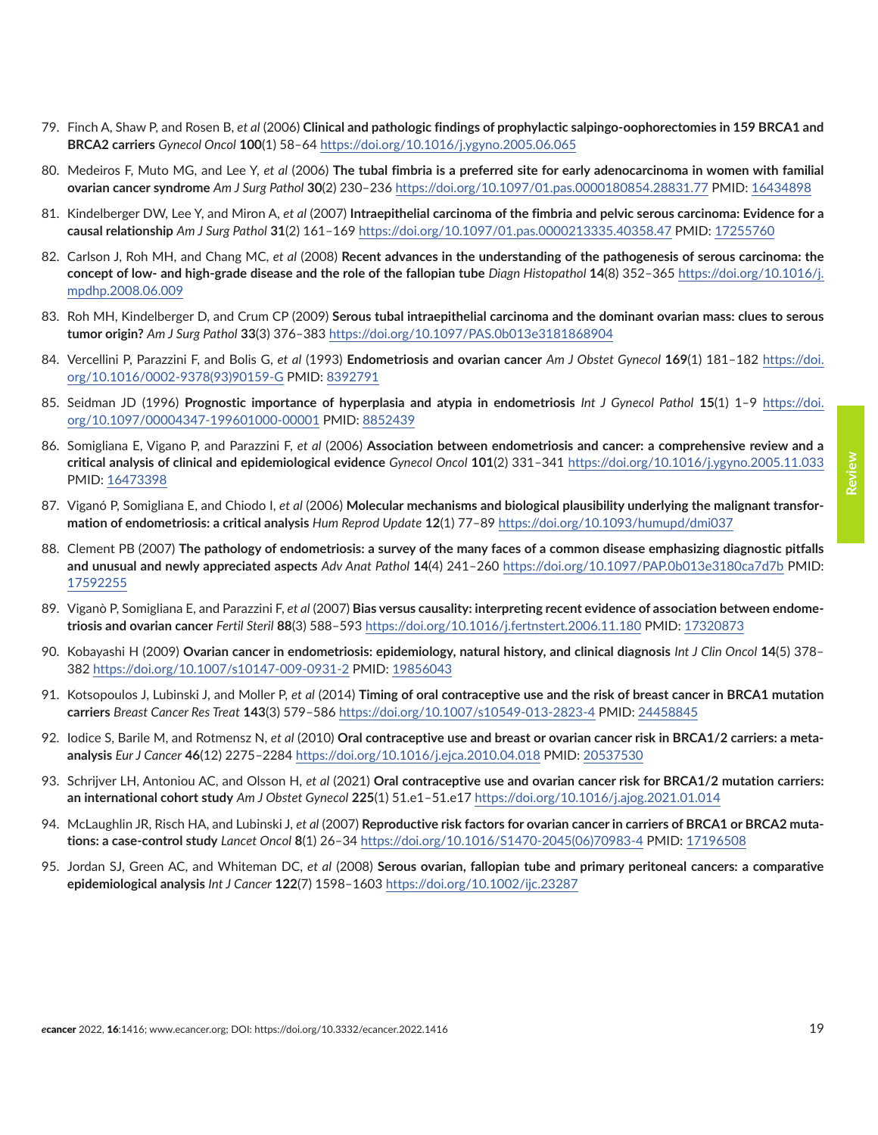- <span id="page-18-0"></span>79. Finch A, Shaw P, and Rosen B, *et al* (2006) **Clinical and pathologic findings of prophylactic salpingo-oophorectomies in 159 BRCA1 and BRCA2 carriers** *Gynecol Oncol* **100**(1) 58–64<https://doi.org/10.1016/j.ygyno.2005.06.065>
- 80. Medeiros F, Muto MG, and Lee Y, *et al* (2006) **The tubal fimbria is a preferred site for early adenocarcinoma in women with familial ovarian cancer syndrome** *Am J Surg Pathol* **30**(2) 230–236 <https://doi.org/10.1097/01.pas.0000180854.28831.77> PMID: [16434898](http://www.ncbi.nlm.nih.gov/pubmed/16434898)
- 81. Kindelberger DW, Lee Y, and Miron A, *et al* (2007) **Intraepithelial carcinoma of the fimbria and pelvic serous carcinoma: Evidence for a causal relationship** *Am J Surg Pathol* **31**(2) 161–169<https://doi.org/10.1097/01.pas.0000213335.40358.47>PMID: [17255760](http://www.ncbi.nlm.nih.gov/pubmed/17255760)
- 82. Carlson J, Roh MH, and Chang MC, *et al* (2008) **Recent advances in the understanding of the pathogenesis of serous carcinoma: the concept of low- and high-grade disease and the role of the fallopian tube** *Diagn Histopathol* **14**(8) 352–365 [https://doi.org/10.1016/j.](https://doi.org/10.1016/j.mpdhp.2008.06.009) [mpdhp.2008.06.009](https://doi.org/10.1016/j.mpdhp.2008.06.009)
- 83. Roh MH, Kindelberger D, and Crum CP (2009) **Serous tubal intraepithelial carcinoma and the dominant ovarian mass: clues to serous tumor origin?** *Am J Surg Pathol* **33**(3) 376–383 <https://doi.org/10.1097/PAS.0b013e3181868904>
- 84. Vercellini P, Parazzini F, and Bolis G, *et al* (1993) **Endometriosis and ovarian cancer** *Am J Obstet Gynecol* **169**(1) 181–182 [https://doi.](https://doi.org/10.1016/0002-9378(93)90159-G) [org/10.1016/0002-9378\(93\)90159-G](https://doi.org/10.1016/0002-9378(93)90159-G) PMID: [8392791](http://www.ncbi.nlm.nih.gov/pubmed/8392791)
- 85. Seidman JD (1996) **Prognostic importance of hyperplasia and atypia in endometriosis** *Int J Gynecol Pathol* **15**(1) 1–9 [https://doi.](https://doi.org/10.1097/00004347-199601000-00001) [org/10.1097/00004347-199601000-00001](https://doi.org/10.1097/00004347-199601000-00001) PMID: [8852439](http://www.ncbi.nlm.nih.gov/pubmed/8852439)
- 86. Somigliana E, Vigano P, and Parazzini F, *et al* (2006) **Association between endometriosis and cancer: a comprehensive review and a critical analysis of clinical and epidemiological evidence** *Gynecol Oncol* **101**(2) 331–341 <https://doi.org/10.1016/j.ygyno.2005.11.033> PMID: [16473398](http://www.ncbi.nlm.nih.gov/pubmed/16473398)
- 87. Viganó P, Somigliana E, and Chiodo I, *et al* (2006) **Molecular mechanisms and biological plausibility underlying the malignant transformation of endometriosis: a critical analysis** *Hum Reprod Update* **12**(1) 77–89 <https://doi.org/10.1093/humupd/dmi037>
- 88. Clement PB (2007) **The pathology of endometriosis: a survey of the many faces of a common disease emphasizing diagnostic pitfalls and unusual and newly appreciated aspects** *Adv Anat Pathol* **14**(4) 241–260 <https://doi.org/10.1097/PAP.0b013e3180ca7d7b>PMID: [17592255](http://www.ncbi.nlm.nih.gov/pubmed/17592255)
- 89. Viganò P, Somigliana E, and Parazzini F, *et al* (2007) **Bias versus causality: interpreting recent evidence of association between endometriosis and ovarian cancer** *Fertil Steril* **88**(3) 588–593 <https://doi.org/10.1016/j.fertnstert.2006.11.180> PMID: [17320873](http://www.ncbi.nlm.nih.gov/pubmed/17320873)
- 90. Kobayashi H (2009) **Ovarian cancer in endometriosis: epidemiology, natural history, and clinical diagnosis** *Int J Clin Oncol* **14**(5) 378– 382 <https://doi.org/10.1007/s10147-009-0931-2>PMID: [19856043](http://www.ncbi.nlm.nih.gov/pubmed/19856043)
- 91. Kotsopoulos J, Lubinski J, and Moller P, *et al* (2014) **Timing of oral contraceptive use and the risk of breast cancer in BRCA1 mutation carriers** *Breast Cancer Res Treat* **143**(3) 579–586 <https://doi.org/10.1007/s10549-013-2823-4> PMID: [24458845](http://www.ncbi.nlm.nih.gov/pubmed/24458845)
- 92. Iodice S, Barile M, and Rotmensz N, *et al* (2010) **Oral contraceptive use and breast or ovarian cancer risk in BRCA1/2 carriers: a metaanalysis** *Eur J Cancer* **46**(12) 2275–2284<https://doi.org/10.1016/j.ejca.2010.04.018>PMID: [20537530](http://www.ncbi.nlm.nih.gov/pubmed/20537530)
- 93. Schrijver LH, Antoniou AC, and Olsson H, *et al* (2021) **Oral contraceptive use and ovarian cancer risk for BRCA1/2 mutation carriers: an international cohort study** *Am J Obstet Gynecol* **225**(1) 51.e1–51.e17<https://doi.org/10.1016/j.ajog.2021.01.014>
- 94. McLaughlin JR, Risch HA, and Lubinski J, *et al* (2007) **Reproductive risk factors for ovarian cancer in carriers of BRCA1 or BRCA2 mutations: a case-control study** *Lancet Oncol* **8**(1) 26–34 [https://doi.org/10.1016/S1470-2045\(06\)70983-4](https://doi.org/10.1016/S1470-2045(06)70983-4) PMID: [17196508](http://www.ncbi.nlm.nih.gov/pubmed/17196508)
- 95. Jordan SJ, Green AC, and Whiteman DC, *et al* (2008) **Serous ovarian, fallopian tube and primary peritoneal cancers: a comparative epidemiological analysis** *Int J Cancer* **122**(7) 1598–1603<https://doi.org/10.1002/ijc.23287>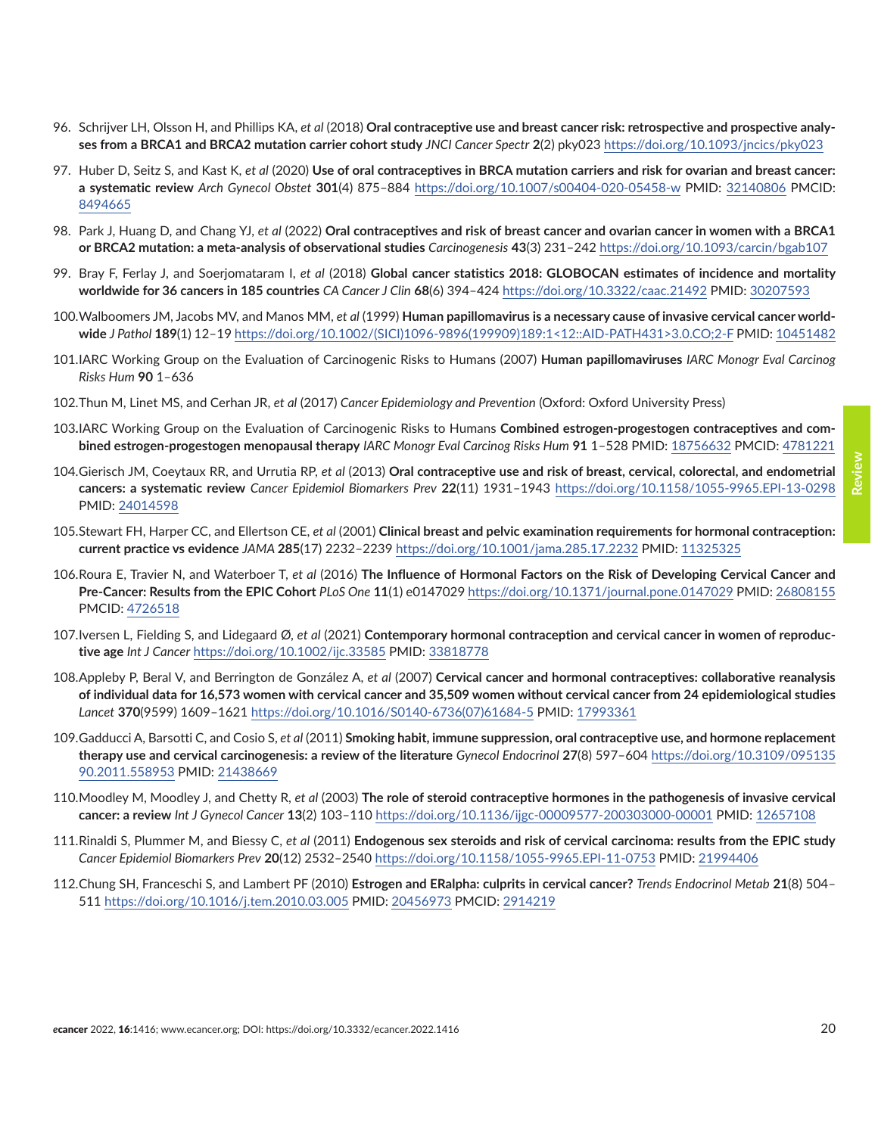- <span id="page-19-0"></span>96. Schrijver LH, Olsson H, and Phillips KA, *et al* (2018) **Oral contraceptive use and breast cancer risk: retrospective and prospective analyses from a BRCA1 and BRCA2 mutation carrier cohort study** *JNCI Cancer Spectr* **2**(2) pky023<https://doi.org/10.1093/jncics/pky023>
- 97. Huber D, Seitz S, and Kast K, *et al* (2020) **Use of oral contraceptives in BRCA mutation carriers and risk for ovarian and breast cancer: a systematic review** *Arch Gynecol Obstet* **301**(4) 875–884 <https://doi.org/10.1007/s00404-020-05458-w>PMID: [32140806](http://www.ncbi.nlm.nih.gov/pubmed/32140806) PMCID: [8494665](http://www.ncbi.nlm.nih.gov/pmc/articles/PMC8494665)
- 98. Park J, Huang D, and Chang YJ, *et al* (2022) **Oral contraceptives and risk of breast cancer and ovarian cancer in women with a BRCA1 or BRCA2 mutation: a meta-analysis of observational studies** *Carcinogenesis* **43**(3) 231–242<https://doi.org/10.1093/carcin/bgab107>
- 99. Bray F, Ferlay J, and Soerjomataram I, *et al* (2018) **Global cancer statistics 2018: GLOBOCAN estimates of incidence and mortality worldwide for 36 cancers in 185 countries** *CA Cancer J Clin* **68**(6) 394–424 <https://doi.org/10.3322/caac.21492> PMID: [30207593](http://www.ncbi.nlm.nih.gov/pubmed/30207593)
- 100.Walboomers JM, Jacobs MV, and Manos MM, *et al* (1999) **Human papillomavirus is a necessary cause of invasive cervical cancer worldwide** *J Pathol* **189**(1) 12–19 [https://doi.org/10.1002/\(SICI\)1096-9896\(199909\)189:1<12::AID-PATH431>3.0.CO;2-F](https://doi.org/10.1002/(SICI)1096-9896(199909)189:1<12::AID-PATH431>3.0.CO;2-F) PMID: [10451482](http://www.ncbi.nlm.nih.gov/pubmed/10451482)
- 101.IARC Working Group on the Evaluation of Carcinogenic Risks to Humans (2007) **Human papillomaviruses** *IARC Monogr Eval Carcinog Risks Hum* **90** 1–636
- 102.Thun M, Linet MS, and Cerhan JR, *et al* (2017) *Cancer Epidemiology and Prevention* (Oxford: Oxford University Press)
- 103**.**IARC Working Group on the Evaluation of Carcinogenic Risks to Humans **Combined estrogen-progestogen contraceptives and combined estrogen-progestogen menopausal therapy** *IARC Monogr Eval Carcinog Risks Hum* **91** 1–528 PMID: [18756632](http://www.ncbi.nlm.nih.gov/pubmed/18756632) PMCID: [4781221](http://www.ncbi.nlm.nih.gov/pmc/articles/PMC4781221)
- 104.Gierisch JM, Coeytaux RR, and Urrutia RP, *et al* (2013) **Oral contraceptive use and risk of breast, cervical, colorectal, and endometrial cancers: a systematic review** *Cancer Epidemiol Biomarkers Prev* **22**(11) 1931–1943 <https://doi.org/10.1158/1055-9965.EPI-13-0298> PMID: [24014598](http://www.ncbi.nlm.nih.gov/pubmed/24014598)
- 105.Stewart FH, Harper CC, and Ellertson CE, *et al* (2001) **Clinical breast and pelvic examination requirements for hormonal contraception: current practice vs evidence** *JAMA* **285**(17) 2232–2239<https://doi.org/10.1001/jama.285.17.2232> PMID: [11325325](http://www.ncbi.nlm.nih.gov/pubmed/11325325)
- 106.Roura E, Travier N, and Waterboer T, *et al* (2016) **The Influence of Hormonal Factors on the Risk of Developing Cervical Cancer and Pre-Cancer: Results from the EPIC Cohort** *PLoS One* **11**(1) e0147029 <https://doi.org/10.1371/journal.pone.0147029>PMID: [26808155](http://www.ncbi.nlm.nih.gov/pubmed/26808155) PMCID: [4726518](http://www.ncbi.nlm.nih.gov/pmc/articles/PMC4726518)
- 107.Iversen L, Fielding S, and Lidegaard Ø, *et al* (2021) **Contemporary hormonal contraception and cervical cancer in women of reproductive age** *Int J Cancer* <https://doi.org/10.1002/ijc.33585> PMID: [33818778](http://www.ncbi.nlm.nih.gov/pubmed/33818778)
- 108.Appleby P, Beral V, and Berrington de González A, *et al* (2007) **Cervical cancer and hormonal contraceptives: collaborative reanalysis of individual data for 16,573 women with cervical cancer and 35,509 women without cervical cancer from 24 epidemiological studies** *Lancet* **370**(9599) 1609–1621 [https://doi.org/10.1016/S0140-6736\(07\)61684-5](https://doi.org/10.1016/S0140-6736(07)61684-5) PMID: [17993361](http://www.ncbi.nlm.nih.gov/pubmed/17993361)
- 109.Gadducci A, Barsotti C, and Cosio S, *et al* (2011) **Smoking habit, immune suppression, oral contraceptive use, and hormone replacement therapy use and cervical carcinogenesis: a review of the literature** *Gynecol Endocrinol* **27**(8) 597–604 [https://doi.org/10.3109/095135](https://doi.org/10.3109/09513590.2011.558953) [90.2011.558953](https://doi.org/10.3109/09513590.2011.558953) PMID: [21438669](http://www.ncbi.nlm.nih.gov/pubmed/21438669)
- 110.Moodley M, Moodley J, and Chetty R, *et al* (2003) **The role of steroid contraceptive hormones in the pathogenesis of invasive cervical cancer: a review** *Int J Gynecol Cancer* **13**(2) 103–110<https://doi.org/10.1136/ijgc-00009577-200303000-00001> PMID: [12657108](http://www.ncbi.nlm.nih.gov/pubmed/12657108)
- 111.Rinaldi S, Plummer M, and Biessy C, *et al* (2011) **Endogenous sex steroids and risk of cervical carcinoma: results from the EPIC study** *Cancer Epidemiol Biomarkers Prev* **20**(12) 2532–2540 <https://doi.org/10.1158/1055-9965.EPI-11-0753> PMID: [21994406](http://www.ncbi.nlm.nih.gov/pubmed/21994406)
- 112.Chung SH, Franceschi S, and Lambert PF (2010) **Estrogen and ERalpha: culprits in cervical cancer?** *Trends Endocrinol Metab* **21**(8) 504– 511 <https://doi.org/10.1016/j.tem.2010.03.005> PMID: [20456973](http://www.ncbi.nlm.nih.gov/pubmed/20456973) PMCID: [2914219](http://www.ncbi.nlm.nih.gov/pmc/articles/PMC2914219)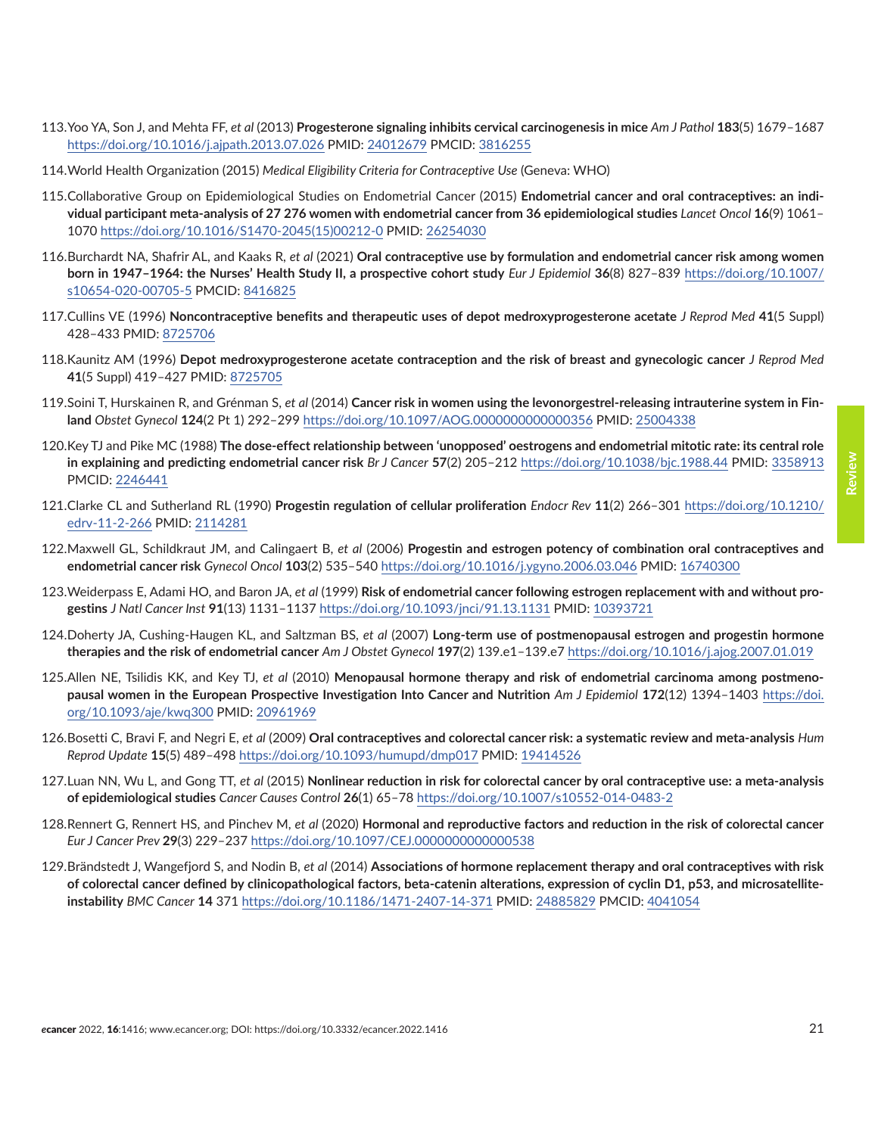- <span id="page-20-0"></span>113.Yoo YA, Son J, and Mehta FF, *et al* (2013) **Progesterone signaling inhibits cervical carcinogenesis in mice** *Am J Pathol* **183**(5) 1679–1687 <https://doi.org/10.1016/j.ajpath.2013.07.026> PMID: [24012679](http://www.ncbi.nlm.nih.gov/pubmed/24012679) PMCID: [3816255](http://www.ncbi.nlm.nih.gov/pmc/articles/PMC3816255)
- 114.World Health Organization (2015) *Medical Eligibility Criteria for Contraceptive Use* (Geneva: WHO)
- 115.Collaborative Group on Epidemiological Studies on Endometrial Cancer (2015) **Endometrial cancer and oral contraceptives: an individual participant meta-analysis of 27 276 women with endometrial cancer from 36 epidemiological studies** *Lancet Oncol* **16**(9) 1061– 1070 [https://doi.org/10.1016/S1470-2045\(15\)00212-0](https://doi.org/10.1016/S1470-2045(15)00212-0) PMID: [26254030](http://www.ncbi.nlm.nih.gov/pubmed/26254030)
- 116.Burchardt NA, Shafrir AL, and Kaaks R, *et al* (2021) **Oral contraceptive use by formulation and endometrial cancer risk among women born in 1947–1964: the Nurses' Health Study II, a prospective cohort study** *Eur J Epidemiol* **36**(8) 827–839 [https://doi.org/10.1007/](https://doi.org/10.1007/s10654-020-00705-5) [s10654-020-00705-5](https://doi.org/10.1007/s10654-020-00705-5) PMCID: [8416825](http://www.ncbi.nlm.nih.gov/pmc/articles/PMC8416825)
- 117.Cullins VE (1996) **Noncontraceptive benefits and therapeutic uses of depot medroxyprogesterone acetate** *J Reprod Med* **41**(5 Suppl) 428–433 PMID: [8725706](http://www.ncbi.nlm.nih.gov/pubmed/8725706)
- 118.Kaunitz AM (1996) **Depot medroxyprogesterone acetate contraception and the risk of breast and gynecologic cancer** *J Reprod Med* **41**(5 Suppl) 419–427 PMID: [8725705](http://www.ncbi.nlm.nih.gov/pubmed/8725705)
- 119.Soini T, Hurskainen R, and Grénman S, *et al* (2014) **Cancer risk in women using the levonorgestrel-releasing intrauterine system in Finland** *Obstet Gynecol* **124**(2 Pt 1) 292–299 <https://doi.org/10.1097/AOG.0000000000000356>PMID: [25004338](http://www.ncbi.nlm.nih.gov/pubmed/25004338)
- 120.Key TJ and Pike MC (1988) **The dose-effect relationship between 'unopposed' oestrogens and endometrial mitotic rate: its central role in explaining and predicting endometrial cancer risk** *Br J Cancer* **57**(2) 205–212 <https://doi.org/10.1038/bjc.1988.44>PMID: [3358913](http://www.ncbi.nlm.nih.gov/pubmed/3358913) PMCID: [2246441](http://www.ncbi.nlm.nih.gov/pmc/articles/PMC2246441)
- 121.Clarke CL and Sutherland RL (1990) **Progestin regulation of cellular proliferation** *Endocr Rev* **11**(2) 266–301 [https://doi.org/10.1210/](https://doi.org/10.1210/edrv-11-2-266) [edrv-11-2-266](https://doi.org/10.1210/edrv-11-2-266) PMID: [2114281](http://www.ncbi.nlm.nih.gov/pubmed/2114281)
- 122.Maxwell GL, Schildkraut JM, and Calingaert B, *et al* (2006) **Progestin and estrogen potency of combination oral contraceptives and endometrial cancer risk** *Gynecol Oncol* **103**(2) 535–540 <https://doi.org/10.1016/j.ygyno.2006.03.046> PMID: [16740300](http://www.ncbi.nlm.nih.gov/pubmed/16740300)
- 123.Weiderpass E, Adami HO, and Baron JA, *et al* (1999) **Risk of endometrial cancer following estrogen replacement with and without progestins** *J Natl Cancer Inst* **91**(13) 1131–1137 <https://doi.org/10.1093/jnci/91.13.1131>PMID: [10393721](http://www.ncbi.nlm.nih.gov/pubmed/10393721)
- 124.Doherty JA, Cushing-Haugen KL, and Saltzman BS, *et al* (2007) **Long-term use of postmenopausal estrogen and progestin hormone therapies and the risk of endometrial cancer** *Am J Obstet Gynecol* **197**(2) 139.e1–139.e7<https://doi.org/10.1016/j.ajog.2007.01.019>
- 125.Allen NE, Tsilidis KK, and Key TJ, *et al* (2010) **Menopausal hormone therapy and risk of endometrial carcinoma among postmenopausal women in the European Prospective Investigation Into Cancer and Nutrition** *Am J Epidemiol* **172**(12) 1394–1403 [https://doi.](https://doi.org/10.1093/aje/kwq300) [org/10.1093/aje/kwq300](https://doi.org/10.1093/aje/kwq300) PMID: [20961969](http://www.ncbi.nlm.nih.gov/pubmed/20961969)
- 126.Bosetti C, Bravi F, and Negri E, *et al* (2009) **Oral contraceptives and colorectal cancer risk: a systematic review and meta-analysis** *Hum Reprod Update* **15**(5) 489–498 <https://doi.org/10.1093/humupd/dmp017>PMID: [19414526](http://www.ncbi.nlm.nih.gov/pubmed/19414526)
- 127.Luan NN, Wu L, and Gong TT, *et al* (2015) **Nonlinear reduction in risk for colorectal cancer by oral contraceptive use: a meta-analysis of epidemiological studies** *Cancer Causes Control* **26**(1) 65–78 <https://doi.org/10.1007/s10552-014-0483-2>
- 128.Rennert G, Rennert HS, and Pinchev M, *et al* (2020) **Hormonal and reproductive factors and reduction in the risk of colorectal cancer** *Eur J Cancer Prev* **29**(3) 229–237<https://doi.org/10.1097/CEJ.0000000000000538>
- 129.Brändstedt J, Wangefjord S, and Nodin B, *et al* (2014) **Associations of hormone replacement therapy and oral contraceptives with risk of colorectal cancer defined by clinicopathological factors, beta-catenin alterations, expression of cyclin D1, p53, and microsatelliteinstability** *BMC Cancer* **14** 371 <https://doi.org/10.1186/1471-2407-14-371>PMID: [24885829](http://www.ncbi.nlm.nih.gov/pubmed/24885829) PMCID: [4041054](http://www.ncbi.nlm.nih.gov/pmc/articles/PMC4041054)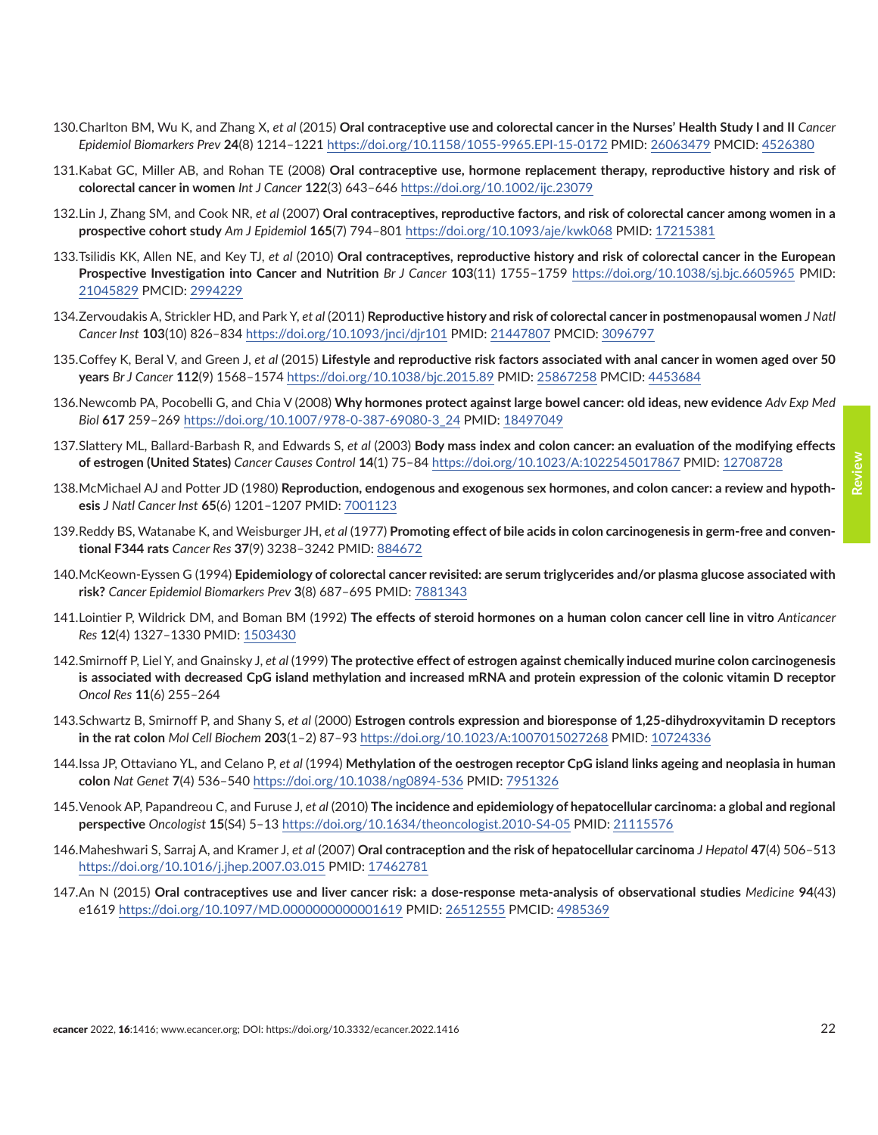- <span id="page-21-0"></span>130.Charlton BM, Wu K, and Zhang X, *et al* (2015) **Oral contraceptive use and colorectal cancer in the Nurses' Health Study I and II** *Cancer Epidemiol Biomarkers Prev* **24**(8) 1214–1221<https://doi.org/10.1158/1055-9965.EPI-15-0172>PMID: [26063479](http://www.ncbi.nlm.nih.gov/pubmed/26063479) PMCID: [4526380](http://www.ncbi.nlm.nih.gov/pmc/articles/PMC4526380)
- 131.Kabat GC, Miller AB, and Rohan TE (2008) **Oral contraceptive use, hormone replacement therapy, reproductive history and risk of colorectal cancer in women** *Int J Cancer* **122**(3) 643–646 <https://doi.org/10.1002/ijc.23079>
- 132.Lin J, Zhang SM, and Cook NR, *et al* (2007) **Oral contraceptives, reproductive factors, and risk of colorectal cancer among women in a prospective cohort study** *Am J Epidemiol* **165**(7) 794–801 <https://doi.org/10.1093/aje/kwk068> PMID: [17215381](http://www.ncbi.nlm.nih.gov/pubmed/17215381)
- 133.Tsilidis KK, Allen NE, and Key TJ, *et al* (2010) **Oral contraceptives, reproductive history and risk of colorectal cancer in the European Prospective Investigation into Cancer and Nutrition** *Br J Cancer* **103**(11) 1755–1759 <https://doi.org/10.1038/sj.bjc.6605965> PMID: [21045829](http://www.ncbi.nlm.nih.gov/pubmed/21045829) PMCID: [2994229](http://www.ncbi.nlm.nih.gov/pmc/articles/PMC2994229)
- 134.Zervoudakis A, Strickler HD, and Park Y, *et al* (2011) **Reproductive history and risk of colorectal cancer in postmenopausal women** *J Natl Cancer Inst* **103**(10) 826–834 <https://doi.org/10.1093/jnci/djr101> PMID: [21447807](http://www.ncbi.nlm.nih.gov/pubmed/21447807) PMCID: [3096797](http://www.ncbi.nlm.nih.gov/pmc/articles/PMC3096797)
- 135.Coffey K, Beral V, and Green J, *et al* (2015) **Lifestyle and reproductive risk factors associated with anal cancer in women aged over 50 years** *Br J Cancer* **112**(9) 1568–1574<https://doi.org/10.1038/bjc.2015.89>PMID: [25867258](http://www.ncbi.nlm.nih.gov/pubmed/25867258) PMCID: [4453684](http://www.ncbi.nlm.nih.gov/pmc/articles/PMC4453684)
- 136.Newcomb PA, Pocobelli G, and Chia V (2008) **Why hormones protect against large bowel cancer: old ideas, new evidence** *Adv Exp Med Biol* **617** 259–269 [https://doi.org/10.1007/978-0-387-69080-3\\_24](https://doi.org/10.1007/978-0-387-69080-3_24) PMID: [18497049](http://www.ncbi.nlm.nih.gov/pubmed/18497049)
- 137.Slattery ML, Ballard-Barbash R, and Edwards S, *et al* (2003) **Body mass index and colon cancer: an evaluation of the modifying effects of estrogen (United States)** *Cancer Causes Control* **14**(1) 75–84<https://doi.org/10.1023/A:1022545017867> PMID: [12708728](http://www.ncbi.nlm.nih.gov/pubmed/12708728)
- 138.McMichael AJ and Potter JD (1980) **Reproduction, endogenous and exogenous sex hormones, and colon cancer: a review and hypothesis** *J Natl Cancer Inst* **65**(6) 1201–1207 PMID: [7001123](http://www.ncbi.nlm.nih.gov/pubmed/7001123)
- 139.Reddy BS, Watanabe K, and Weisburger JH, *et al* (1977) **Promoting effect of bile acids in colon carcinogenesis in germ-free and conventional F344 rats** *Cancer Res* **37**(9) 3238–3242 PMID: [884672](http://www.ncbi.nlm.nih.gov/pubmed/884672)
- 140.McKeown-Eyssen G (1994) **Epidemiology of colorectal cancer revisited: are serum triglycerides and/or plasma glucose associated with risk?** *Cancer Epidemiol Biomarkers Prev* **3**(8) 687–695 PMID: [7881343](http://www.ncbi.nlm.nih.gov/pubmed/7881343)
- 141.Lointier P, Wildrick DM, and Boman BM (1992) **The effects of steroid hormones on a human colon cancer cell line in vitro** *Anticancer Res* **12**(4) 1327–1330 PMID: [1503430](http://www.ncbi.nlm.nih.gov/pubmed/1503430)
- 142.Smirnoff P, Liel Y, and Gnainsky J, *et al* (1999) **The protective effect of estrogen against chemically induced murine colon carcinogenesis is associated with decreased CpG island methylation and increased mRNA and protein expression of the colonic vitamin D receptor** *Oncol Res* **11**(6) 255–264
- 143.Schwartz B, Smirnoff P, and Shany S, *et al* (2000) **Estrogen controls expression and bioresponse of 1,25-dihydroxyvitamin D receptors in the rat colon** *Mol Cell Biochem* **203**(1–2) 87–93<https://doi.org/10.1023/A:1007015027268> PMID: [10724336](http://www.ncbi.nlm.nih.gov/pubmed/10724336)
- 144.Issa JP, Ottaviano YL, and Celano P, *et al* (1994) **Methylation of the oestrogen receptor CpG island links ageing and neoplasia in human colon** *Nat Genet* **7**(4) 536–540 <https://doi.org/10.1038/ng0894-536> PMID: [7951326](http://www.ncbi.nlm.nih.gov/pubmed/7951326)
- 145.Venook AP, Papandreou C, and Furuse J, *et al* (2010) **The incidence and epidemiology of hepatocellular carcinoma: a global and regional perspective** *Oncologist* **15**(S4) 5–13 <https://doi.org/10.1634/theoncologist.2010-S4-05>PMID: [21115576](http://www.ncbi.nlm.nih.gov/pubmed/21115576)
- 146.Maheshwari S, Sarraj A, and Kramer J, *et al* (2007) **Oral contraception and the risk of hepatocellular carcinoma** *J Hepatol* **47**(4) 506–513 <https://doi.org/10.1016/j.jhep.2007.03.015>PMID: [17462781](http://www.ncbi.nlm.nih.gov/pubmed/17462781)
- 147.An N (2015) **Oral contraceptives use and liver cancer risk: a dose-response meta-analysis of observational studies** *Medicine* **94**(43) e1619 <https://doi.org/10.1097/MD.0000000000001619>PMID: [26512555](http://www.ncbi.nlm.nih.gov/pubmed/26512555) PMCID: [4985369](http://www.ncbi.nlm.nih.gov/pmc/articles/PMC4985369)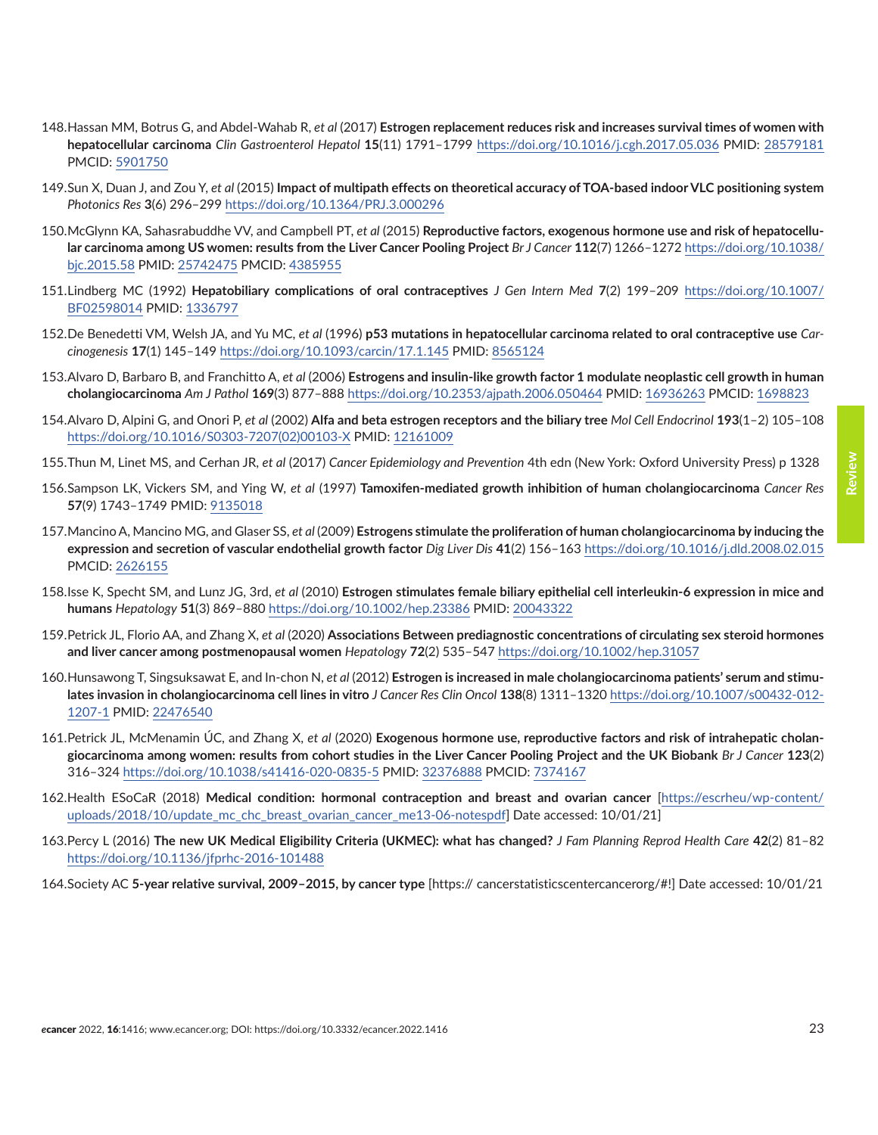**Review**

- <span id="page-22-0"></span>148.Hassan MM, Botrus G, and Abdel-Wahab R, *et al* (2017) **Estrogen replacement reduces risk and increases survival times of women with hepatocellular carcinoma** *Clin Gastroenterol Hepatol* **15**(11) 1791–1799 <https://doi.org/10.1016/j.cgh.2017.05.036>PMID: [28579181](http://www.ncbi.nlm.nih.gov/pubmed/28579181) PMCID: [5901750](http://www.ncbi.nlm.nih.gov/pmc/articles/PMC5901750)
- 149.Sun X, Duan J, and Zou Y, *et al* (2015) **Impact of multipath effects on theoretical accuracy of TOA-based indoor VLC positioning system** *Photonics Res* **3**(6) 296–299<https://doi.org/10.1364/PRJ.3.000296>
- 150.McGlynn KA, Sahasrabuddhe VV, and Campbell PT, *et al* (2015) **Reproductive factors, exogenous hormone use and risk of hepatocellular carcinoma among US women: results from the Liver Cancer Pooling Project** *Br J Cancer* **112**(7) 1266–1272 [https://doi.org/10.1038/](https://doi.org/10.1038/bjc.2015.58) [bjc.2015.58](https://doi.org/10.1038/bjc.2015.58) PMID: [25742475](http://www.ncbi.nlm.nih.gov/pubmed/25742475) PMCID: [4385955](http://www.ncbi.nlm.nih.gov/pmc/articles/PMC4385955)
- 151.Lindberg MC (1992) **Hepatobiliary complications of oral contraceptives** *J Gen Intern Med* **7**(2) 199–209 [https://doi.org/10.1007/](https://doi.org/10.1007/BF02598014) [BF02598014](https://doi.org/10.1007/BF02598014) PMID: [1336797](http://www.ncbi.nlm.nih.gov/pubmed/1336797)
- 152.De Benedetti VM, Welsh JA, and Yu MC, *et al* (1996) **p53 mutations in hepatocellular carcinoma related to oral contraceptive use** *Carcinogenesis* **17**(1) 145–149<https://doi.org/10.1093/carcin/17.1.145> PMID: [8565124](http://www.ncbi.nlm.nih.gov/pubmed/8565124)
- 153.Alvaro D, Barbaro B, and Franchitto A, *et al* (2006) **Estrogens and insulin-like growth factor 1 modulate neoplastic cell growth in human cholangiocarcinoma** *Am J Pathol* **169**(3) 877–888 <https://doi.org/10.2353/ajpath.2006.050464> PMID: [16936263](http://www.ncbi.nlm.nih.gov/pubmed/16936263) PMCID: [1698823](http://www.ncbi.nlm.nih.gov/pmc/articles/PMC1698823)
- 154.Alvaro D, Alpini G, and Onori P, *et al* (2002) **Alfa and beta estrogen receptors and the biliary tree** *Mol Cell Endocrinol* **193**(1–2) 105–108 [https://doi.org/10.1016/S0303-7207\(02\)00103-X](https://doi.org/10.1016/S0303-7207(02)00103-X) PMID: [12161009](http://www.ncbi.nlm.nih.gov/pubmed/12161009)
- 155.Thun M, Linet MS, and Cerhan JR, *et al* (2017) *Cancer Epidemiology and Prevention* 4th edn (New York: Oxford University Press) p 1328
- 156.Sampson LK, Vickers SM, and Ying W, *et al* (1997) **Tamoxifen-mediated growth inhibition of human cholangiocarcinoma** *Cancer Res* **57**(9) 1743–1749 PMID: [9135018](http://www.ncbi.nlm.nih.gov/pubmed/9135018)
- 157.Mancino A, Mancino MG, and Glaser SS, *et al* (2009) **Estrogens stimulate the proliferation of human cholangiocarcinoma by inducing the expression and secretion of vascular endothelial growth factor** *Dig Liver Dis* **41**(2) 156–163 <https://doi.org/10.1016/j.dld.2008.02.015> PMCID: [2626155](http://www.ncbi.nlm.nih.gov/pmc/articles/PMC2626155)
- 158.Isse K, Specht SM, and Lunz JG, 3rd, *et al* (2010) **Estrogen stimulates female biliary epithelial cell interleukin-6 expression in mice and humans** *Hepatology* **51**(3) 869–880 <https://doi.org/10.1002/hep.23386>PMID: [20043322](http://www.ncbi.nlm.nih.gov/pubmed/20043322)
- 159.Petrick JL, Florio AA, and Zhang X, *et al* (2020) **Associations Between prediagnostic concentrations of circulating sex steroid hormones and liver cancer among postmenopausal women** *Hepatology* **72**(2) 535–547 <https://doi.org/10.1002/hep.31057>
- 160.Hunsawong T, Singsuksawat E, and In-chon N, *et al* (2012) **Estrogen is increased in male cholangiocarcinoma patients' serum and stimulates invasion in cholangiocarcinoma cell lines in vitro** *J Cancer Res Clin Oncol* **138**(8) 1311–1320 [https://doi.org/10.1007/s00432-012-](https://doi.org/10.1007/s00432-012-1207-1) [1207-1](https://doi.org/10.1007/s00432-012-1207-1) PMID: [22476540](http://www.ncbi.nlm.nih.gov/pubmed/22476540)
- 161.Petrick JL, McMenamin ÚC, and Zhang X, *et al* (2020) **Exogenous hormone use, reproductive factors and risk of intrahepatic cholangiocarcinoma among women: results from cohort studies in the Liver Cancer Pooling Project and the UK Biobank** *Br J Cancer* **123**(2) 316–324 <https://doi.org/10.1038/s41416-020-0835-5>PMID: [32376888](http://www.ncbi.nlm.nih.gov/pubmed/32376888) PMCID: [7374167](http://www.ncbi.nlm.nih.gov/pmc/articles/PMC7374167)
- 162.Health ESoCaR (2018) **Medical condition: hormonal contraception and breast and ovarian cancer** [[https://escrheu/wp-content/](https://escrheu/wp-content/uploads/2018/10/update_mc_chc_breast_ovarian_cancer_me13-06-notespdf) [uploads/2018/10/update\\_mc\\_chc\\_breast\\_ovarian\\_cancer\\_me13-06-notespdf\]](https://escrheu/wp-content/uploads/2018/10/update_mc_chc_breast_ovarian_cancer_me13-06-notespdf) Date accessed: 10/01/21]
- 163.Percy L (2016) **The new UK Medical Eligibility Criteria (UKMEC): what has changed?** *J Fam Planning Reprod Health Care* **42**(2) 81–82 <https://doi.org/10.1136/jfprhc-2016-101488>
- 164.Society AC **5-year relative survival, 2009–2015, by cancer type** [https:// cancerstatisticscentercancerorg/#!] Date accessed: 10/01/21